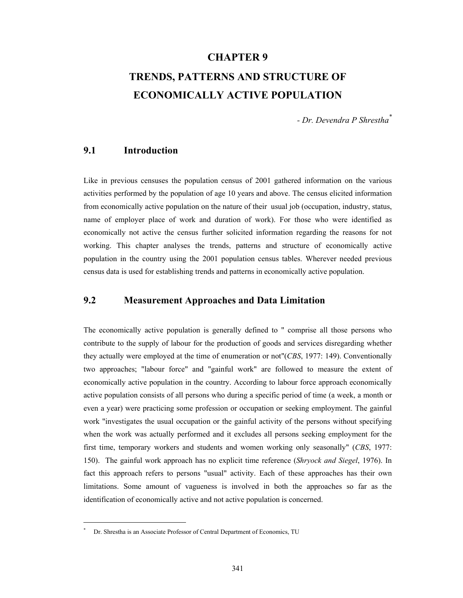#### **CHAPTER 9**

# **TRENDS, PATTERNS AND STRUCTURE OF ECONOMICALLY ACTIVE POPULATION**

*- Dr. Devendra P Shrestha\**

## **9.1 Introduction**

Like in previous censuses the population census of 2001 gathered information on the various activities performed by the population of age 10 years and above. The census elicited information from economically active population on the nature of their usual job (occupation, industry, status, name of employer place of work and duration of work). For those who were identified as economically not active the census further solicited information regarding the reasons for not working. This chapter analyses the trends, patterns and structure of economically active population in the country using the 2001 population census tables. Wherever needed previous census data is used for establishing trends and patterns in economically active population.

### **9.2 Measurement Approaches and Data Limitation**

The economically active population is generally defined to " comprise all those persons who contribute to the supply of labour for the production of goods and services disregarding whether they actually were employed at the time of enumeration or not"(*CBS*, 1977: 149). Conventionally two approaches; "labour force" and "gainful work" are followed to measure the extent of economically active population in the country. According to labour force approach economically active population consists of all persons who during a specific period of time (a week, a month or even a year) were practicing some profession or occupation or seeking employment. The gainful work "investigates the usual occupation or the gainful activity of the persons without specifying when the work was actually performed and it excludes all persons seeking employment for the first time, temporary workers and students and women working only seasonally" (*CBS*, 1977: 150). The gainful work approach has no explicit time reference (*Shryock and Siegel*, 1976). In fact this approach refers to persons "usual" activity. Each of these approaches has their own limitations. Some amount of vagueness is involved in both the approaches so far as the identification of economically active and not active population is concerned.

 $\overline{a}$ \*

Dr. Shrestha is an Associate Professor of Central Department of Economics, TU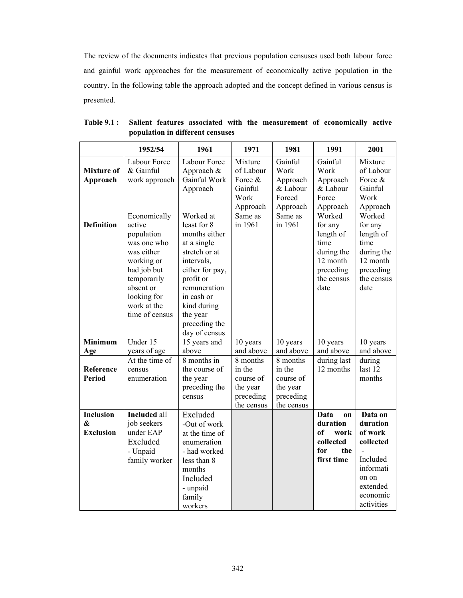The review of the documents indicates that previous population censuses used both labour force and gainful work approaches for the measurement of economically active population in the country. In the following table the approach adopted and the concept defined in various census is presented.

|                                                       | 1952/54                                                                                                                                                                    | 1961                                                                                                                                                                                                               | 1971                                                                   | 1981                                                                   | 1991                                                                                                | 2001                                                                                                                |
|-------------------------------------------------------|----------------------------------------------------------------------------------------------------------------------------------------------------------------------------|--------------------------------------------------------------------------------------------------------------------------------------------------------------------------------------------------------------------|------------------------------------------------------------------------|------------------------------------------------------------------------|-----------------------------------------------------------------------------------------------------|---------------------------------------------------------------------------------------------------------------------|
| <b>Mixture of</b><br>Approach                         | Labour Force<br>& Gainful<br>work approach                                                                                                                                 | Labour Force<br>Approach &<br>Gainful Work<br>Approach                                                                                                                                                             | Mixture<br>of Labour<br>Force &<br>Gainful<br>Work<br>Approach         | Gainful<br>Work<br>Approach<br>& Labour<br>Forced<br>Approach          | Gainful<br>Work<br>Approach<br>& Labour<br>Force<br>Approach                                        | Mixture<br>of Labour<br>Force &<br>Gainful<br>Work<br>Approach                                                      |
| <b>Definition</b>                                     | Economically<br>active<br>population<br>was one who<br>was either<br>working or<br>had job but<br>temporarily<br>absent or<br>looking for<br>work at the<br>time of census | Worked at<br>least for 8<br>months either<br>at a single<br>stretch or at<br>intervals,<br>either for pay,<br>profit or<br>remuneration<br>in cash or<br>kind during<br>the year<br>preceding the<br>day of census | Same as<br>in 1961                                                     | Same as<br>in 1961                                                     | Worked<br>for any<br>length of<br>time<br>during the<br>12 month<br>preceding<br>the census<br>date | Worked<br>for any<br>length of<br>time<br>during the<br>12 month<br>preceding<br>the census<br>date                 |
| <b>Minimum</b><br>Age                                 | Under 15<br>years of age                                                                                                                                                   | 15 years and<br>above                                                                                                                                                                                              | 10 years<br>and above                                                  | 10 years<br>and above                                                  | 10 years<br>and above                                                                               | 10 years<br>and above                                                                                               |
| Reference<br><b>Period</b>                            | At the time of<br>census<br>enumeration                                                                                                                                    | 8 months in<br>the course of<br>the year<br>preceding the<br>census                                                                                                                                                | 8 months<br>in the<br>course of<br>the year<br>preceding<br>the census | 8 months<br>in the<br>course of<br>the year<br>preceding<br>the census | during last<br>12 months                                                                            | during<br>last 12<br>months                                                                                         |
| <b>Inclusion</b><br>$\mathbf{\&}$<br><b>Exclusion</b> | <b>Included</b> all<br>job seekers<br>under EAP<br>Excluded<br>- Unpaid<br>family worker                                                                                   | Excluded<br>-Out of work<br>at the time of<br>enumeration<br>- had worked<br>less than 8<br>months<br>Included<br>- unpaid<br>family<br>workers                                                                    |                                                                        |                                                                        | <b>Data</b><br>on<br>duration<br>of<br>work<br>collected<br>for<br>the<br>first time                | Data on<br>duration<br>of work<br>collected<br>Included<br>informati<br>on on<br>extended<br>economic<br>activities |

**Table 9.1 : Salient features associated with the measurement of economically active population in different censuses**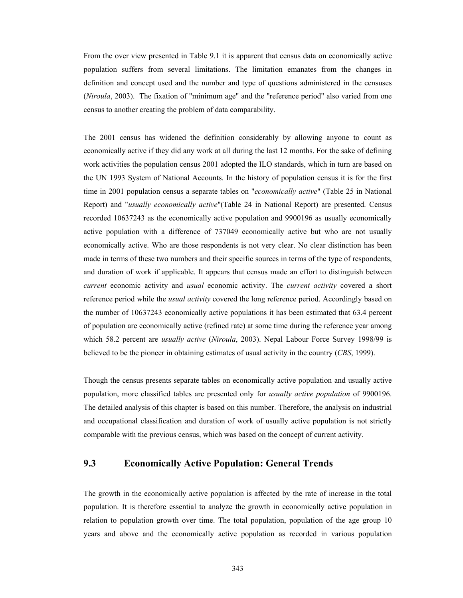From the over view presented in Table 9.1 it is apparent that census data on economically active population suffers from several limitations. The limitation emanates from the changes in definition and concept used and the number and type of questions administered in the censuses (*Niroula*, 2003). The fixation of "minimum age" and the "reference period" also varied from one census to another creating the problem of data comparability.

The 2001 census has widened the definition considerably by allowing anyone to count as economically active if they did any work at all during the last 12 months. For the sake of defining work activities the population census 2001 adopted the ILO standards, which in turn are based on the UN 1993 System of National Accounts. In the history of population census it is for the first time in 2001 population census a separate tables on "*economically active*" (Table 25 in National Report) and "*usually economically active*"(Table 24 in National Report) are presented. Census recorded 10637243 as the economically active population and 9900196 as usually economically active population with a difference of 737049 economically active but who are not usually economically active. Who are those respondents is not very clear. No clear distinction has been made in terms of these two numbers and their specific sources in terms of the type of respondents, and duration of work if applicable. It appears that census made an effort to distinguish between *current* economic activity and *usual* economic activity. The *current activity* covered a short reference period while the *usual activity* covered the long reference period. Accordingly based on the number of 10637243 economically active populations it has been estimated that 63.4 percent of population are economically active (refined rate) at some time during the reference year among which 58.2 percent are *usually active* (*Niroula*, 2003). Nepal Labour Force Survey 1998/99 is believed to be the pioneer in obtaining estimates of usual activity in the country (*CBS*, 1999).

Though the census presents separate tables on economically active population and usually active population, more classified tables are presented only for *usually active population* of 9900196. The detailed analysis of this chapter is based on this number. Therefore, the analysis on industrial and occupational classification and duration of work of usually active population is not strictly comparable with the previous census, which was based on the concept of current activity.

#### **9.3 Economically Active Population: General Trends**

The growth in the economically active population is affected by the rate of increase in the total population. It is therefore essential to analyze the growth in economically active population in relation to population growth over time. The total population, population of the age group 10 years and above and the economically active population as recorded in various population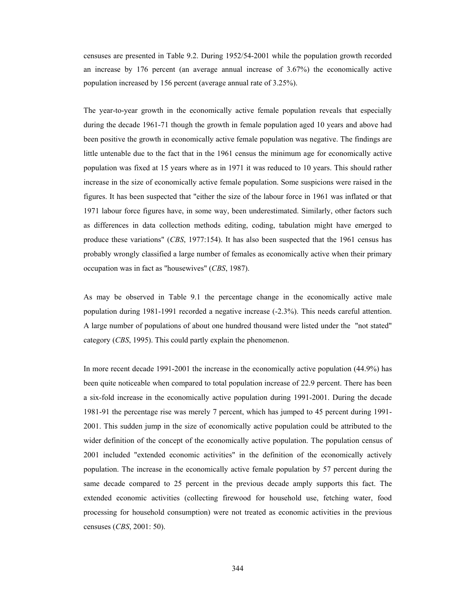censuses are presented in Table 9.2. During 1952/54-2001 while the population growth recorded an increase by 176 percent (an average annual increase of 3.67%) the economically active population increased by 156 percent (average annual rate of 3.25%).

The year-to-year growth in the economically active female population reveals that especially during the decade 1961-71 though the growth in female population aged 10 years and above had been positive the growth in economically active female population was negative. The findings are little untenable due to the fact that in the 1961 census the minimum age for economically active population was fixed at 15 years where as in 1971 it was reduced to 10 years. This should rather increase in the size of economically active female population. Some suspicions were raised in the figures. It has been suspected that "either the size of the labour force in 1961 was inflated or that 1971 labour force figures have, in some way, been underestimated. Similarly, other factors such as differences in data collection methods editing, coding, tabulation might have emerged to produce these variations" (*CBS*, 1977:154). It has also been suspected that the 1961 census has probably wrongly classified a large number of females as economically active when their primary occupation was in fact as "housewives" (*CBS*, 1987).

As may be observed in Table 9.1 the percentage change in the economically active male population during 1981-1991 recorded a negative increase (-2.3%). This needs careful attention. A large number of populations of about one hundred thousand were listed under the "not stated" category (*CBS*, 1995). This could partly explain the phenomenon.

In more recent decade 1991-2001 the increase in the economically active population (44.9%) has been quite noticeable when compared to total population increase of 22.9 percent. There has been a six-fold increase in the economically active population during 1991-2001. During the decade 1981-91 the percentage rise was merely 7 percent, which has jumped to 45 percent during 1991- 2001. This sudden jump in the size of economically active population could be attributed to the wider definition of the concept of the economically active population. The population census of 2001 included "extended economic activities" in the definition of the economically actively population. The increase in the economically active female population by 57 percent during the same decade compared to 25 percent in the previous decade amply supports this fact. The extended economic activities (collecting firewood for household use, fetching water, food processing for household consumption) were not treated as economic activities in the previous censuses (*CBS*, 2001: 50).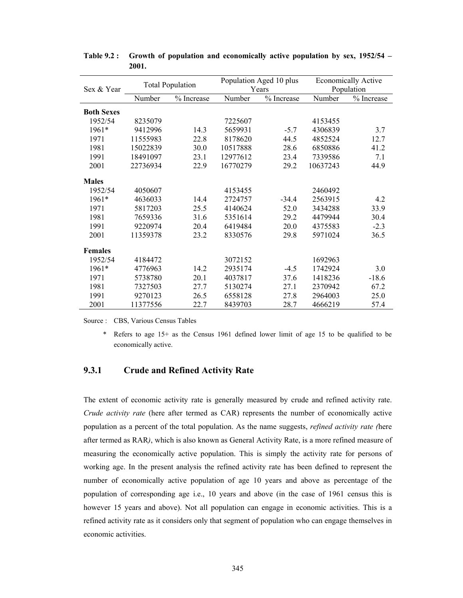|                   |          | <b>Total Population</b> |          | Population Aged 10 plus | <b>Economically Active</b> |            |  |
|-------------------|----------|-------------------------|----------|-------------------------|----------------------------|------------|--|
| Sex & Year        |          |                         |          | Years                   | Population                 |            |  |
|                   | Number   | % Increase              | Number   | % Increase              | Number                     | % Increase |  |
| <b>Both Sexes</b> |          |                         |          |                         |                            |            |  |
| 1952/54           | 8235079  |                         | 7225607  |                         | 4153455                    |            |  |
| 1961*             | 9412996  | 14.3                    | 5659931  | $-5.7$                  | 4306839                    | 3.7        |  |
| 1971              | 11555983 | 22.8                    | 8178620  | 44.5                    | 4852524                    | 12.7       |  |
| 1981              | 15022839 | 30.0                    | 10517888 | 28.6                    | 6850886                    | 41.2       |  |
| 1991              | 18491097 | 23.1                    | 12977612 | 23.4                    | 7339586                    | 7.1        |  |
| 2001              | 22736934 | 22.9                    | 16770279 | 29.2                    | 10637243                   | 44.9       |  |
| <b>Males</b>      |          |                         |          |                         |                            |            |  |
| 1952/54           | 4050607  |                         | 4153455  |                         | 2460492                    |            |  |
| 1961*             | 4636033  | 14.4                    | 2724757  | $-34.4$                 | 2563915                    | 4.2        |  |
| 1971              | 5817203  | 25.5                    | 4140624  | 52.0                    | 3434288                    | 33.9       |  |
| 1981              | 7659336  | 31.6                    | 5351614  | 29.2                    | 4479944                    | 30.4       |  |
| 1991              | 9220974  | 20.4                    | 6419484  | 20.0                    | 4375583                    | $-2.3$     |  |
| 2001              | 11359378 | 23.2                    | 8330576  | 29.8                    | 5971024                    | 36.5       |  |
| <b>Females</b>    |          |                         |          |                         |                            |            |  |
| 1952/54           | 4184472  |                         | 3072152  |                         | 1692963                    |            |  |
| 1961*             | 4776963  | 14.2                    | 2935174  | $-4.5$                  | 1742924                    | 3.0        |  |
| 1971              | 5738780  | 20.1                    | 4037817  | 37.6                    | 1418236                    | $-18.6$    |  |
| 1981              | 7327503  | 27.7                    | 5130274  | 27.1                    | 2370942                    | 67.2       |  |
| 1991              | 9270123  | 26.5                    | 6558128  | 27.8                    | 2964003                    | 25.0       |  |
| 2001              | 11377556 | 22.7                    | 8439703  | 28.7                    | 4666219                    | 57.4       |  |

**Table 9.2 : Growth of population and economically active population by sex, 1952/54 – 2001.** 

Source : CBS, Various Census Tables

 \* Refers to age 15+ as the Census 1961 defined lower limit of age 15 to be qualified to be economically active.

#### **9.3.1 Crude and Refined Activity Rate**

The extent of economic activity rate is generally measured by crude and refined activity rate. *Crude activity rate* (here after termed as CAR) represents the number of economically active population as a percent of the total population. As the name suggests, *refined activity rate (*here after termed as RAR*)*, which is also known as General Activity Rate, is a more refined measure of measuring the economically active population. This is simply the activity rate for persons of working age. In the present analysis the refined activity rate has been defined to represent the number of economically active population of age 10 years and above as percentage of the population of corresponding age i.e., 10 years and above (in the case of 1961 census this is however 15 years and above). Not all population can engage in economic activities. This is a refined activity rate as it considers only that segment of population who can engage themselves in economic activities.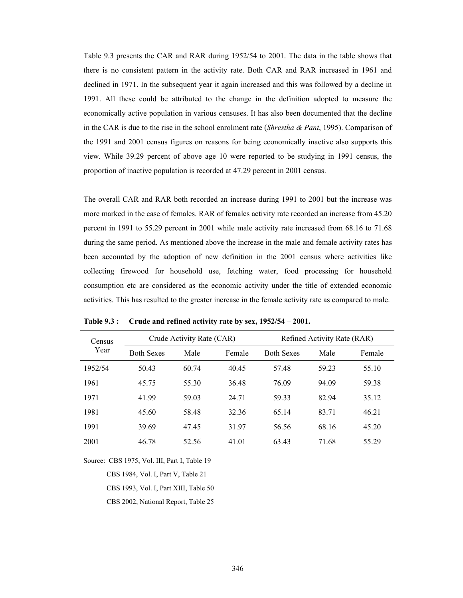Table 9.3 presents the CAR and RAR during 1952/54 to 2001. The data in the table shows that there is no consistent pattern in the activity rate. Both CAR and RAR increased in 1961 and declined in 1971. In the subsequent year it again increased and this was followed by a decline in 1991. All these could be attributed to the change in the definition adopted to measure the economically active population in various censuses. It has also been documented that the decline in the CAR is due to the rise in the school enrolment rate (*Shrestha & Pant*, 1995). Comparison of the 1991 and 2001 census figures on reasons for being economically inactive also supports this view. While 39.29 percent of above age 10 were reported to be studying in 1991 census, the proportion of inactive population is recorded at 47.29 percent in 2001 census.

The overall CAR and RAR both recorded an increase during 1991 to 2001 but the increase was more marked in the case of females. RAR of females activity rate recorded an increase from 45.20 percent in 1991 to 55.29 percent in 2001 while male activity rate increased from 68.16 to 71.68 during the same period. As mentioned above the increase in the male and female activity rates has been accounted by the adoption of new definition in the 2001 census where activities like collecting firewood for household use, fetching water, food processing for household consumption etc are considered as the economic activity under the title of extended economic activities. This has resulted to the greater increase in the female activity rate as compared to male.

| Census<br>Year |                   | Crude Activity Rate (CAR) |        | Refined Activity Rate (RAR) |       |        |  |  |
|----------------|-------------------|---------------------------|--------|-----------------------------|-------|--------|--|--|
|                | <b>Both Sexes</b> | Male                      | Female | <b>Both Sexes</b>           | Male  | Female |  |  |
| 1952/54        | 50.43             | 60.74                     | 40.45  | 57.48                       | 59 23 | 55.10  |  |  |
| 1961           | 45.75             | 55.30                     | 36.48  | 76.09                       | 94.09 | 59.38  |  |  |
| 1971           | 41.99             | 59.03                     | 24.71  | 59.33                       | 82 94 | 35.12  |  |  |
| 1981           | 45.60             | 58.48                     | 32.36  | 65.14                       | 83.71 | 46.21  |  |  |
| 1991           | 39.69             | 47.45                     | 31.97  | 56.56                       | 68.16 | 45.20  |  |  |
| 2001           | 46.78             | 52.56                     | 41.01  | 63.43                       | 71.68 | 55.29  |  |  |

**Table 9.3 : Crude and refined activity rate by sex, 1952/54 – 2001.** 

Source: CBS 1975, Vol. III, Part I, Table 19

CBS 1984, Vol. I, Part V, Table 21

CBS 1993, Vol. I, Part XIII, Table 50

CBS 2002, National Report, Table 25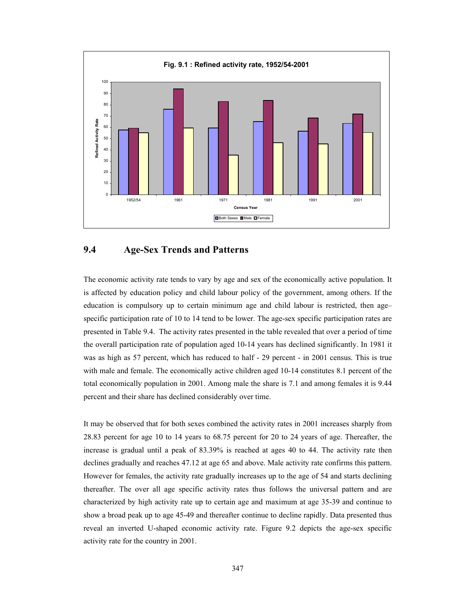

### **9.4 Age-Sex Trends and Patterns**

The economic activity rate tends to vary by age and sex of the economically active population. It is affected by education policy and child labour policy of the government, among others. If the education is compulsory up to certain minimum age and child labour is restricted, then age– specific participation rate of 10 to 14 tend to be lower. The age-sex specific participation rates are presented in Table 9.4. The activity rates presented in the table revealed that over a period of time the overall participation rate of population aged 10-14 years has declined significantly. In 1981 it was as high as 57 percent, which has reduced to half - 29 percent - in 2001 census. This is true with male and female. The economically active children aged 10-14 constitutes 8.1 percent of the total economically population in 2001. Among male the share is 7.1 and among females it is 9.44 percent and their share has declined considerably over time.

It may be observed that for both sexes combined the activity rates in 2001 increases sharply from 28.83 percent for age 10 to 14 years to 68.75 percent for 20 to 24 years of age. Thereafter, the increase is gradual until a peak of 83.39% is reached at ages 40 to 44. The activity rate then declines gradually and reaches 47.12 at age 65 and above. Male activity rate confirms this pattern. However for females, the activity rate gradually increases up to the age of 54 and starts declining thereafter. The over all age specific activity rates thus follows the universal pattern and are characterized by high activity rate up to certain age and maximum at age 35-39 and continue to show a broad peak up to age 45-49 and thereafter continue to decline rapidly. Data presented thus reveal an inverted U-shaped economic activity rate. Figure 9.2 depicts the age-sex specific activity rate for the country in 2001.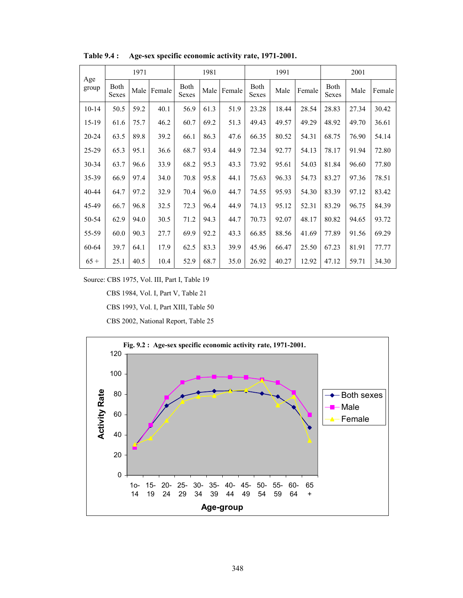|              |                      | 1971 |        |                      | 1981 |        |               | 1991  |        |               | 2001  |        |
|--------------|----------------------|------|--------|----------------------|------|--------|---------------|-------|--------|---------------|-------|--------|
| Age<br>group | <b>Both</b><br>Sexes | Male | Female | <b>Both</b><br>Sexes | Male | Female | Both<br>Sexes | Male  | Female | Both<br>Sexes | Male  | Female |
| $10 - 14$    | 50.5                 | 59.2 | 40.1   | 56.9                 | 61.3 | 51.9   | 23.28         | 18.44 | 28.54  | 28.83         | 27.34 | 30.42  |
| 15-19        | 61.6                 | 75.7 | 46.2   | 60.7                 | 69.2 | 51.3   | 49.43         | 49.57 | 49.29  | 48.92         | 49.70 | 36.61  |
| 20-24        | 63.5                 | 89.8 | 39.2   | 66.1                 | 86.3 | 47.6   | 66.35         | 80.52 | 54.31  | 68.75         | 76.90 | 54.14  |
| 25-29        | 65.3                 | 95.1 | 36.6   | 68.7                 | 93.4 | 44.9   | 72.34         | 92.77 | 54.13  | 78.17         | 91.94 | 72.80  |
| 30-34        | 63.7                 | 96.6 | 33.9   | 68.2                 | 95.3 | 43.3   | 73.92         | 95.61 | 54.03  | 81.84         | 96.60 | 77.80  |
| 35-39        | 66.9                 | 97.4 | 34.0   | 70.8                 | 95.8 | 44.1   | 75.63         | 96.33 | 54.73  | 83.27         | 97.36 | 78.51  |
| 40-44        | 64.7                 | 97.2 | 32.9   | 70.4                 | 96.0 | 44.7   | 74.55         | 95.93 | 54.30  | 83.39         | 97.12 | 83.42  |
| 45-49        | 66.7                 | 96.8 | 32.5   | 72.3                 | 96.4 | 44.9   | 74.13         | 95.12 | 52.31  | 83.29         | 96.75 | 84.39  |
| 50-54        | 62.9                 | 94.0 | 30.5   | 71.2                 | 94.3 | 44.7   | 70.73         | 92.07 | 48.17  | 80.82         | 94.65 | 93.72  |
| 55-59        | 60.0                 | 90.3 | 27.7   | 69.9                 | 92.2 | 43.3   | 66.85         | 88.56 | 41.69  | 77.89         | 91.56 | 69.29  |
| 60-64        | 39.7                 | 64.1 | 17.9   | 62.5                 | 83.3 | 39.9   | 45.96         | 66.47 | 25.50  | 67.23         | 81.91 | 77.77  |
| $65+$        | 25.1                 | 40.5 | 10.4   | 52.9                 | 68.7 | 35.0   | 26.92         | 40.27 | 12.92  | 47.12         | 59.71 | 34.30  |

**Table 9.4 : Age-sex specific economic activity rate, 1971-2001.** 

Source: CBS 1975, Vol. III, Part I, Table 19

CBS 1984, Vol. I, Part V, Table 21

CBS 1993, Vol. I, Part XIII, Table 50

CBS 2002, National Report, Table 25

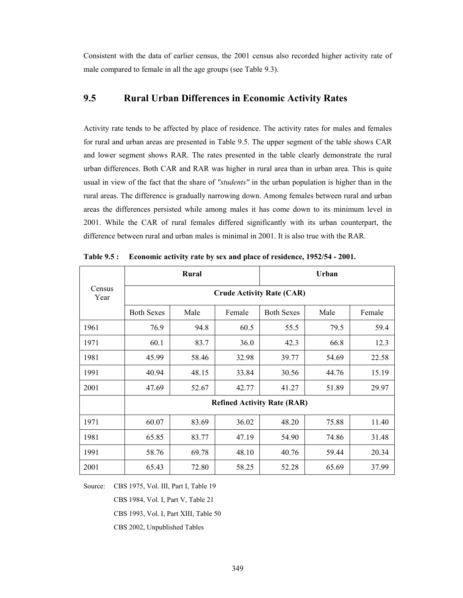Consistent with the data of earlier census, the 2001 census also recorded higher activity rate of male compared to female in all the age groups (see Table 9.3).

#### **9.5 Rural Urban Differences in Economic Activity Rates**

Activity rate tends to be affected by place of residence. The activity rates for males and females for rural and urban areas are presented in Table 9.5. The upper segment of the table shows CAR and lower segment shows RAR. The rates presented in the table clearly demonstrate the rural urban differences. Both CAR and RAR was higher in rural area than in urban area. This is quite usual in view of the fact that the share of *"students"* in the urban population is higher than in the rural areas. The difference is gradually narrowing down. Among females between rural and urban areas the differences persisted while among males it has come down to its minimum level in 2001. While the CAR of rural females differed significantly with its urban counterpart, the difference between rural and urban males is minimal in 2001. It is also true with the RAR.

|                |                                  | Rural |        | <b>Urban</b>                       |       |        |  |  |  |
|----------------|----------------------------------|-------|--------|------------------------------------|-------|--------|--|--|--|
| Census<br>Year | <b>Crude Activity Rate (CAR)</b> |       |        |                                    |       |        |  |  |  |
|                | <b>Both Sexes</b>                | Male  | Female | <b>Both Sexes</b>                  | Male  | Female |  |  |  |
| 1961           | 76.9                             | 94.8  | 60.5   | 55.5                               | 79.5  | 59.4   |  |  |  |
| 1971           | 60.1                             | 83.7  | 36.0   | 42.3                               | 66.8  | 12.3   |  |  |  |
| 1981           | 45.99                            | 58.46 | 32.98  | 39.77                              | 54.69 | 22.58  |  |  |  |
| 1991           | 40.94                            | 48.15 | 33.84  | 30.56                              | 44.76 | 15.19  |  |  |  |
| 2001           | 47.69                            | 52.67 | 42.77  | 41.27                              | 51.89 | 29.97  |  |  |  |
|                |                                  |       |        | <b>Refined Activity Rate (RAR)</b> |       |        |  |  |  |
| 1971           | 60.07                            | 83.69 | 36.02  | 48.20                              | 75.88 | 11.40  |  |  |  |
| 1981           | 65.85                            | 83.77 | 47.19  | 54.90                              | 74.86 | 31.48  |  |  |  |
| 1991           | 58.76                            | 69.78 | 48.10  | 40.76                              | 59.44 | 20.34  |  |  |  |
| 2001           | 65.43                            | 72.80 | 58.25  | 52.28                              | 65.69 | 37.99  |  |  |  |

**Table 9.5 : Economic activity rate by sex and place of residence, 1952/54 - 2001.** 

Source: CBS 1975, Vol. III, Part I, Table 19

CBS 1984, Vol. I, Part V, Table 21

CBS 1993, Vol. I, Part XIII, Table 50

CBS 2002, Unpublished Tables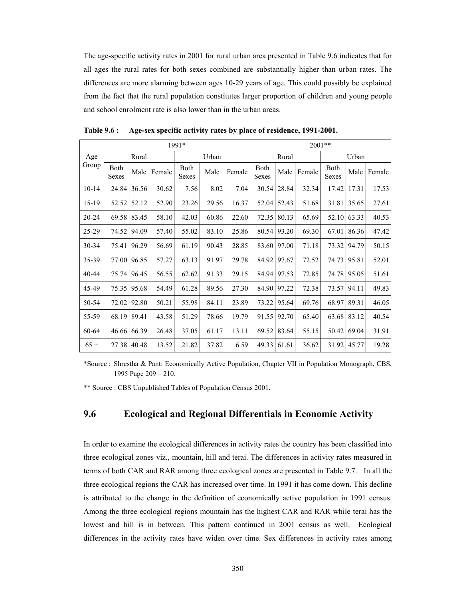The age-specific activity rates in 2001 for rural urban area presented in Table 9.6 indicates that for all ages the rural rates for both sexes combined are substantially higher than urban rates. The differences are more alarming between ages 10-29 years of age. This could possibly be explained from the fact that the rural population constitutes larger proportion of children and young people and school enrolment rate is also lower than in the urban areas.

|         | 1991*         |       |        |               |       |        |               | $2001**$ |        |               |       |        |  |
|---------|---------------|-------|--------|---------------|-------|--------|---------------|----------|--------|---------------|-------|--------|--|
| Age     | Rural         |       |        | Urban         |       |        | Rural         |          |        | Urban         |       |        |  |
| Group   | Both<br>Sexes | Male  | Female | Both<br>Sexes | Male  | Female | Both<br>Sexes | Male     | Female | Both<br>Sexes | Male  | Female |  |
| $10-14$ | 24.84         | 36.56 | 30.62  | 7.56          | 8.02  | 7.04   | 30.54         | 28.84    | 32.34  | 17.42         | 17.31 | 17.53  |  |
| 15-19   | 52.52         | 52.12 | 52.90  | 23.26         | 29.56 | 16.37  | 52.04         | 52.43    | 51.68  | 31.81         | 35.65 | 27.61  |  |
| 20-24   | 69.58         | 83.45 | 58.10  | 42.03         | 60.86 | 22.60  | 72.35         | 80.13    | 65.69  | 52.10         | 63.33 | 40.53  |  |
| 25-29   | 74.52         | 94.09 | 57.40  | 55.02         | 83.10 | 25.86  | 80.54         | 93.20    | 69.30  | 67.01         | 86.36 | 47.42  |  |
| 30-34   | 75.41         | 96.29 | 56.69  | 61.19         | 90.43 | 28.85  | 83.60         | 97.00    | 71.18  | 73.32         | 94.79 | 50.15  |  |
| 35-39   | 77.00         | 96.85 | 57.27  | 63.13         | 91.97 | 29.78  | 84.92         | 97.67    | 72.52  | 74.73         | 95.81 | 52.01  |  |
| 40-44   | 75.74         | 96.45 | 56.55  | 62.62         | 91.33 | 29.15  | 84.94         | 97.53    | 72.85  | 74.78         | 95.05 | 51.61  |  |
| 45-49   | 75.35         | 95.68 | 54.49  | 61.28         | 89.56 | 27.30  | 84.90         | 97.22    | 72.38  | 73.57         | 94.11 | 49.83  |  |
| 50-54   | 72.02         | 92.80 | 50.21  | 55.98         | 84.11 | 23.89  | 73.22         | 95.64    | 69.76  | 68.97         | 89.31 | 46.05  |  |
| 55-59   | 68.19         | 89.41 | 43.58  | 51.29         | 78.66 | 19.79  | 91.55         | 92.70    | 65.40  | 63.68         | 83.12 | 40.54  |  |
| 60-64   | 46.66         | 66.39 | 26.48  | 37.05         | 61.17 | 13.11  | 69.52         | 83.64    | 55.15  | 50.42         | 69.04 | 31.91  |  |
| $65+$   | 27.38         | 40.48 | 13.52  | 21.82         | 37.82 | 6.59   | 49.33         | 61.61    | 36.62  | 31.92         | 45.77 | 19.28  |  |

**Table 9.6 : Age-sex specific activity rates by place of residence, 1991-2001.** 

\*Source : Shrestha & Pant: Economically Active Population, Chapter VII in Population Monograph, CBS, 1995 Page 209 – 210.

\*\* Source : CBS Unpublished Tables of Population Census 2001.

#### **9.6 Ecological and Regional Differentials in Economic Activity**

In order to examine the ecological differences in activity rates the country has been classified into three ecological zones viz., mountain, hill and terai. The differences in activity rates measured in terms of both CAR and RAR among three ecological zones are presented in Table 9.7. In all the three ecological regions the CAR has increased over time. In 1991 it has come down. This decline is attributed to the change in the definition of economically active population in 1991 census. Among the three ecological regions mountain has the highest CAR and RAR while terai has the lowest and hill is in between. This pattern continued in 2001 census as well. Ecological differences in the activity rates have widen over time. Sex differences in activity rates among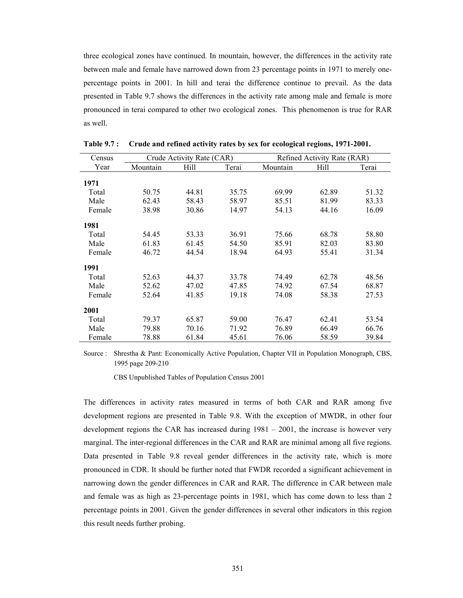three ecological zones have continued. In mountain, however, the differences in the activity rate between male and female have narrowed down from 23 percentage points in 1971 to merely onepercentage points in 2001. In hill and terai the difference continue to prevail. As the data presented in Table 9.7 shows the differences in the activity rate among male and female is more pronounced in terai compared to other two ecological zones. This phenomenon is true for RAR as well.

| Census |          | Crude Activity Rate (CAR) |       | Refined Activity Rate (RAR) |       |       |  |  |
|--------|----------|---------------------------|-------|-----------------------------|-------|-------|--|--|
| Year   | Mountain | Hill                      | Terai | Mountain                    | Hill  | Terai |  |  |
| 1971   |          |                           |       |                             |       |       |  |  |
| Total  | 50.75    | 44.81                     | 35.75 | 69.99                       | 62.89 | 51.32 |  |  |
| Male   | 62.43    | 58.43                     | 58.97 | 85.51                       | 81.99 | 83.33 |  |  |
| Female | 38.98    | 30.86                     | 14.97 | 54.13                       | 44.16 | 16.09 |  |  |
| 1981   |          |                           |       |                             |       |       |  |  |
| Total  | 54.45    | 53.33                     | 36.91 | 75.66                       | 68.78 | 58.80 |  |  |
| Male   | 61.83    | 61.45                     | 54.50 | 85.91                       | 82.03 | 83.80 |  |  |
| Female | 46.72    | 44.54                     | 18.94 | 64.93                       | 55.41 | 31.34 |  |  |
| 1991   |          |                           |       |                             |       |       |  |  |
| Total  | 52.63    | 44.37                     | 33.78 | 74.49                       | 62.78 | 48.56 |  |  |
| Male   | 52.62    | 47.02                     | 47.85 | 74.92                       | 67.54 | 68.87 |  |  |
| Female | 52.64    | 41.85                     | 19.18 | 74.08                       | 58.38 | 27.53 |  |  |
| 2001   |          |                           |       |                             |       |       |  |  |
| Total  | 79.37    | 65.87                     | 59.00 | 76.47                       | 62.41 | 53.54 |  |  |
| Male   | 79.88    | 70.16                     | 71.92 | 76.89                       | 66.49 | 66.76 |  |  |
| Female | 78.88    | 61.84                     | 45.61 | 76.06                       | 58.59 | 39.84 |  |  |

**Table 9.7 : Crude and refined activity rates by sex for ecological regions, 1971-2001.** 

Source : Shrestha & Pant: Economically Active Population, Chapter VII in Population Monograph, CBS, 1995 page 209-210

CBS Unpublished Tables of Population Census 2001

The differences in activity rates measured in terms of both CAR and RAR among five development regions are presented in Table 9.8. With the exception of MWDR, in other four development regions the CAR has increased during 1981 – 2001, the increase is however very marginal. The inter-regional differences in the CAR and RAR are minimal among all five regions. Data presented in Table 9.8 reveal gender differences in the activity rate, which is more pronounced in CDR. It should be further noted that FWDR recorded a significant achievement in narrowing down the gender differences in CAR and RAR. The difference in CAR between male and female was as high as 23-percentage points in 1981, which has come down to less than 2 percentage points in 2001. Given the gender differences in several other indicators in this region this result needs further probing.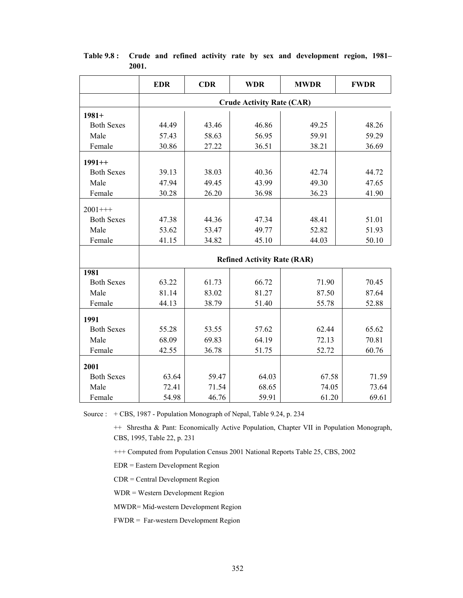|                   | <b>EDR</b>                       | <b>CDR</b> | <b>WDR</b>                         | <b>MWDR</b> | <b>FWDR</b> |  |  |  |  |  |
|-------------------|----------------------------------|------------|------------------------------------|-------------|-------------|--|--|--|--|--|
|                   | <b>Crude Activity Rate (CAR)</b> |            |                                    |             |             |  |  |  |  |  |
| $1981+$           |                                  |            |                                    |             |             |  |  |  |  |  |
| <b>Both Sexes</b> | 44.49                            | 43.46      | 46.86                              | 49.25       | 48.26       |  |  |  |  |  |
| Male              | 57.43                            | 58.63      | 56.95                              | 59.91       | 59.29       |  |  |  |  |  |
| Female            | 30.86                            | 27.22      | 36.51                              | 38.21       | 36.69       |  |  |  |  |  |
| $1991++$          |                                  |            |                                    |             |             |  |  |  |  |  |
| <b>Both Sexes</b> | 39.13                            | 38.03      | 40.36                              | 42.74       | 44.72       |  |  |  |  |  |
| Male              | 47.94                            | 49.45      | 43.99                              | 49.30       | 47.65       |  |  |  |  |  |
| Female            | 30.28                            | 26.20      | 36.98                              | 36.23       | 41.90       |  |  |  |  |  |
| $2001++$          |                                  |            |                                    |             |             |  |  |  |  |  |
| <b>Both Sexes</b> | 47.38                            | 44.36      | 47.34                              | 48.41       | 51.01       |  |  |  |  |  |
| Male              | 53.62                            | 53.47      | 49.77                              | 52.82       | 51.93       |  |  |  |  |  |
| Female            | 41.15                            | 34.82      | 45.10                              | 44.03       | 50.10       |  |  |  |  |  |
|                   |                                  |            | <b>Refined Activity Rate (RAR)</b> |             |             |  |  |  |  |  |
|                   |                                  |            |                                    |             |             |  |  |  |  |  |
| 1981              |                                  |            |                                    |             |             |  |  |  |  |  |
| <b>Both Sexes</b> | 63.22                            | 61.73      | 66.72                              | 71.90       | 70.45       |  |  |  |  |  |
| Male              | 81.14                            | 83.02      | 81.27                              | 87.50       | 87.64       |  |  |  |  |  |
| Female            | 44.13                            | 38.79      | 51.40                              | 55.78       | 52.88       |  |  |  |  |  |
| 1991              |                                  |            |                                    |             |             |  |  |  |  |  |
| <b>Both Sexes</b> | 55.28                            | 53.55      | 57.62                              | 62.44       | 65.62       |  |  |  |  |  |
| Male              | 68.09                            | 69.83      | 64.19                              | 72.13       | 70.81       |  |  |  |  |  |
| Female            | 42.55                            | 36.78      | 51.75                              | 52.72       | 60.76       |  |  |  |  |  |
| 2001              |                                  |            |                                    |             |             |  |  |  |  |  |
| <b>Both Sexes</b> | 63.64                            | 59.47      | 64.03                              | 67.58       | 71.59       |  |  |  |  |  |
| Male              | 72.41                            | 71.54      | 68.65                              | 74.05       | 73.64       |  |  |  |  |  |
| Female            | 54.98                            | 46.76      | 59.91                              | 61.20       | 69.61       |  |  |  |  |  |

**Table 9.8 : Crude and refined activity rate by sex and development region, 1981– 2001.** 

Source : + CBS, 1987 - Population Monograph of Nepal, Table 9.24, p. 234

++ Shrestha & Pant: Economically Active Population, Chapter VII in Population Monograph, CBS, 1995, Table 22, p. 231

+++ Computed from Population Census 2001 National Reports Table 25, CBS, 2002

- EDR = Eastern Development Region
- CDR = Central Development Region

WDR = Western Development Region

MWDR= Mid-western Development Region

FWDR = Far-western Development Region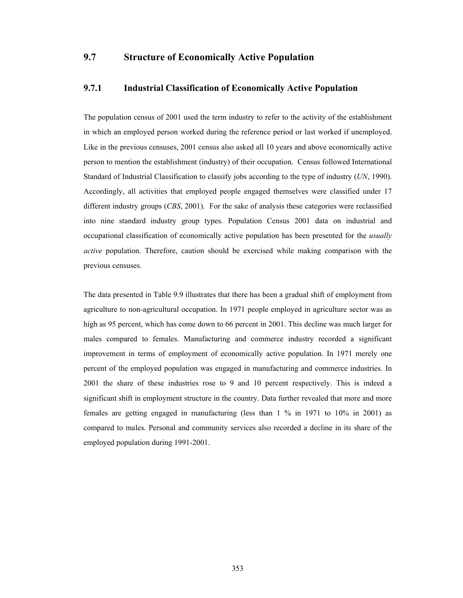#### **9.7 Structure of Economically Active Population**

#### **9.7.1 Industrial Classification of Economically Active Population**

The population census of 2001 used the term industry to refer to the activity of the establishment in which an employed person worked during the reference period or last worked if unemployed. Like in the previous censuses, 2001 census also asked all 10 years and above economically active person to mention the establishment (industry) of their occupation. Census followed International Standard of Industrial Classification to classify jobs according to the type of industry (*UN*, 1990). Accordingly, all activities that employed people engaged themselves were classified under 17 different industry groups (*CBS*, 2001). For the sake of analysis these categories were reclassified into nine standard industry group types. Population Census 2001 data on industrial and occupational classification of economically active population has been presented for the *usually active* population. Therefore, caution should be exercised while making comparison with the previous censuses.

The data presented in Table 9.9 illustrates that there has been a gradual shift of employment from agriculture to non-agricultural occupation. In 1971 people employed in agriculture sector was as high as 95 percent, which has come down to 66 percent in 2001. This decline was much larger for males compared to females. Manufacturing and commerce industry recorded a significant improvement in terms of employment of economically active population. In 1971 merely one percent of the employed population was engaged in manufacturing and commerce industries. In 2001 the share of these industries rose to 9 and 10 percent respectively. This is indeed a significant shift in employment structure in the country. Data further revealed that more and more females are getting engaged in manufacturing (less than 1 % in 1971 to 10% in 2001) as compared to males. Personal and community services also recorded a decline in its share of the employed population during 1991-2001.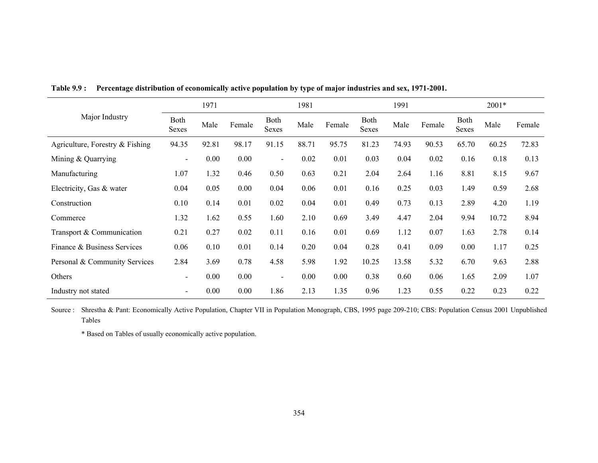|                                   |                          | 1971  |        |                          | 1981  |        |                             | 1991  |        |                      | 2001* |        |
|-----------------------------------|--------------------------|-------|--------|--------------------------|-------|--------|-----------------------------|-------|--------|----------------------|-------|--------|
| Major Industry                    | <b>Both</b><br>Sexes     | Male  | Female | Both<br>Sexes            | Male  | Female | <b>Both</b><br><b>Sexes</b> | Male  | Female | Both<br><b>Sexes</b> | Male  | Female |
| Agriculture, Forestry $&$ Fishing | 94.35                    | 92.81 | 98.17  | 91.15                    | 88.71 | 95.75  | 81.23                       | 74.93 | 90.53  | 65.70                | 60.25 | 72.83  |
| Mining & Quarrying                | $\overline{\phantom{0}}$ | 0.00  | 0.00   | $\blacksquare$           | 0.02  | 0.01   | 0.03                        | 0.04  | 0.02   | 0.16                 | 0.18  | 0.13   |
| Manufacturing                     | 1.07                     | 1.32  | 0.46   | 0.50                     | 0.63  | 0.21   | 2.04                        | 2.64  | 1.16   | 8.81                 | 8.15  | 9.67   |
| Electricity, Gas & water          | 0.04                     | 0.05  | 0.00   | 0.04                     | 0.06  | 0.01   | 0.16                        | 0.25  | 0.03   | 1.49                 | 0.59  | 2.68   |
| Construction                      | 0.10                     | 0.14  | 0.01   | 0.02                     | 0.04  | 0.01   | 0.49                        | 0.73  | 0.13   | 2.89                 | 4.20  | 1.19   |
| Commerce                          | 1.32                     | 1.62  | 0.55   | 1.60                     | 2.10  | 0.69   | 3.49                        | 4.47  | 2.04   | 9.94                 | 10.72 | 8.94   |
| Transport & Communication         | 0.21                     | 0.27  | 0.02   | 0.11                     | 0.16  | 0.01   | 0.69                        | 1.12  | 0.07   | 1.63                 | 2.78  | 0.14   |
| Finance & Business Services       | 0.06                     | 0.10  | 0.01   | 0.14                     | 0.20  | 0.04   | 0.28                        | 0.41  | 0.09   | 0.00                 | 1.17  | 0.25   |
| Personal & Community Services     | 2.84                     | 3.69  | 0.78   | 4.58                     | 5.98  | 1.92   | 10.25                       | 13.58 | 5.32   | 6.70                 | 9.63  | 2.88   |
| Others                            | $\overline{\phantom{a}}$ | 0.00  | 0.00   | $\overline{\phantom{a}}$ | 0.00  | 0.00   | 0.38                        | 0.60  | 0.06   | 1.65                 | 2.09  | 1.07   |
| Industry not stated               | $\blacksquare$           | 0.00  | 0.00   | 1.86                     | 2.13  | 1.35   | 0.96                        | 1.23  | 0.55   | 0.22                 | 0.23  | 0.22   |

**Table 9.9 : Percentage distribution of economically active population by type of major industries and sex, 1971-2001.** 

Source : Shrestha & Pant: Economically Active Population, Chapter VII in Population Monograph, CBS, 1995 page 209-210; CBS: Population Census 2001 Unpublished Tables

\* Based on Tables of usually economically active population.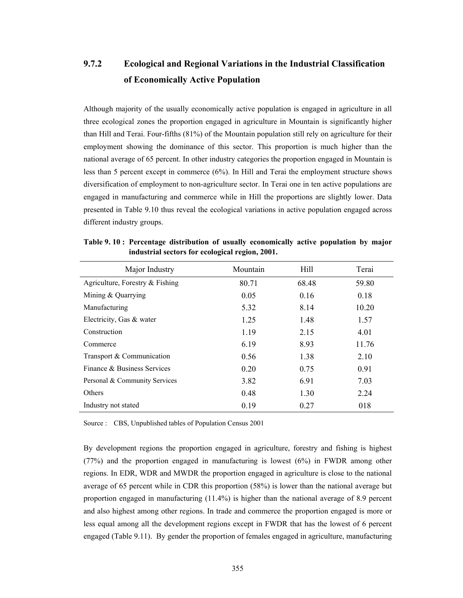# **9.7.2 Ecological and Regional Variations in the Industrial Classification of Economically Active Population**

Although majority of the usually economically active population is engaged in agriculture in all three ecological zones the proportion engaged in agriculture in Mountain is significantly higher than Hill and Terai. Four-fifths (81%) of the Mountain population still rely on agriculture for their employment showing the dominance of this sector. This proportion is much higher than the national average of 65 percent. In other industry categories the proportion engaged in Mountain is less than 5 percent except in commerce (6%). In Hill and Terai the employment structure shows diversification of employment to non-agriculture sector. In Terai one in ten active populations are engaged in manufacturing and commerce while in Hill the proportions are slightly lower. Data presented in Table 9.10 thus reveal the ecological variations in active population engaged across different industry groups.

| Major Industry                    | Mountain | Hill  | Terai |
|-----------------------------------|----------|-------|-------|
| Agriculture, Forestry $&$ Fishing | 80.71    | 68.48 | 59.80 |
| Mining $&$ Quarrying              | 0.05     | 0.16  | 0.18  |
| Manufacturing                     | 5.32     | 8.14  | 10.20 |
| Electricity, Gas & water          | 1.25     | 1.48  | 1.57  |
| Construction                      | 1.19     | 2.15  | 4.01  |
| Commerce                          | 6.19     | 8.93  | 11.76 |
| Transport & Communication         | 0.56     | 1.38  | 2.10  |
| Finance & Business Services       | 0.20     | 0.75  | 0.91  |
| Personal & Community Services     | 3.82     | 6.91  | 7.03  |
| Others                            | 0.48     | 1.30  | 2.24  |
| Industry not stated               | 0.19     | 0.27  | 018   |

**Table 9. 10 : Percentage distribution of usually economically active population by major industrial sectors for ecological region, 2001.** 

Source : CBS, Unpublished tables of Population Census 2001

By development regions the proportion engaged in agriculture, forestry and fishing is highest (77%) and the proportion engaged in manufacturing is lowest (6%) in FWDR among other regions. In EDR, WDR and MWDR the proportion engaged in agriculture is close to the national average of 65 percent while in CDR this proportion (58%) is lower than the national average but proportion engaged in manufacturing (11.4%) is higher than the national average of 8.9 percent and also highest among other regions. In trade and commerce the proportion engaged is more or less equal among all the development regions except in FWDR that has the lowest of 6 percent engaged (Table 9.11). By gender the proportion of females engaged in agriculture, manufacturing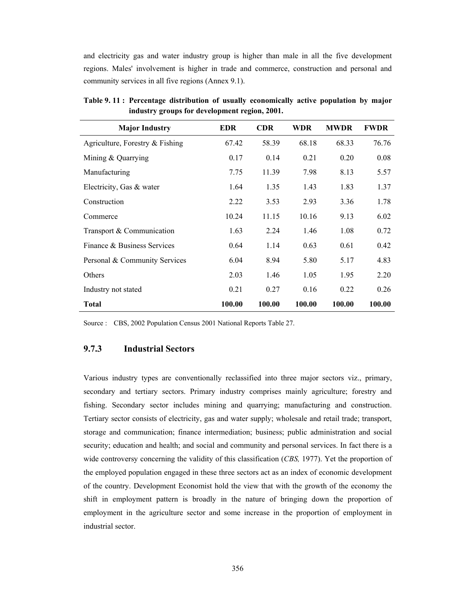and electricity gas and water industry group is higher than male in all the five development regions. Males' involvement is higher in trade and commerce, construction and personal and community services in all five regions (Annex 9.1).

| <b>Major Industry</b>             | <b>EDR</b> | <b>CDR</b> | <b>WDR</b> | <b>MWDR</b> | <b>FWDR</b> |
|-----------------------------------|------------|------------|------------|-------------|-------------|
| Agriculture, Forestry $&$ Fishing | 67.42      | 58.39      | 68.18      | 68.33       | 76.76       |
| Mining $&$ Quarrying              | 0.17       | 0.14       | 0.21       | 0.20        | 0.08        |
| Manufacturing                     | 7.75       | 11.39      | 7.98       | 8.13        | 5.57        |
| Electricity, Gas & water          | 1.64       | 1.35       | 1.43       | 1.83        | 1.37        |
| Construction                      | 2.22       | 3.53       | 2.93       | 3.36        | 1.78        |
| Commerce                          | 10.24      | 11.15      | 10.16      | 9.13        | 6.02        |
| Transport & Communication         | 1.63       | 2.24       | 1.46       | 1.08        | 0.72        |
| Finance & Business Services       | 0.64       | 1.14       | 0.63       | 0.61        | 0.42        |
| Personal & Community Services     | 6.04       | 8.94       | 5.80       | 5.17        | 4.83        |
| Others                            | 2.03       | 1.46       | 1.05       | 1.95        | 2.20        |
| Industry not stated               | 0.21       | 0.27       | 0.16       | 0.22        | 0.26        |
| <b>Total</b>                      | 100.00     | 100.00     | 100.00     | 100.00      | 100.00      |

**Table 9. 11 : Percentage distribution of usually economically active population by major industry groups for development region, 2001.** 

Source : CBS, 2002 Population Census 2001 National Reports Table 27.

#### **9.7.3 Industrial Sectors**

Various industry types are conventionally reclassified into three major sectors viz., primary, secondary and tertiary sectors. Primary industry comprises mainly agriculture; forestry and fishing. Secondary sector includes mining and quarrying; manufacturing and construction. Tertiary sector consists of electricity, gas and water supply; wholesale and retail trade; transport, storage and communication; finance intermediation; business; public administration and social security; education and health; and social and community and personal services. In fact there is a wide controversy concerning the validity of this classification (*CBS,* 1977). Yet the proportion of the employed population engaged in these three sectors act as an index of economic development of the country. Development Economist hold the view that with the growth of the economy the shift in employment pattern is broadly in the nature of bringing down the proportion of employment in the agriculture sector and some increase in the proportion of employment in industrial sector.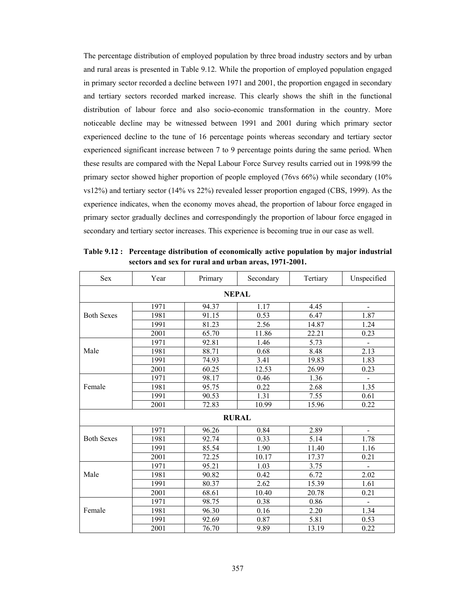The percentage distribution of employed population by three broad industry sectors and by urban and rural areas is presented in Table 9.12. While the proportion of employed population engaged in primary sector recorded a decline between 1971 and 2001, the proportion engaged in secondary and tertiary sectors recorded marked increase. This clearly shows the shift in the functional distribution of labour force and also socio-economic transformation in the country. More noticeable decline may be witnessed between 1991 and 2001 during which primary sector experienced decline to the tune of 16 percentage points whereas secondary and tertiary sector experienced significant increase between 7 to 9 percentage points during the same period. When these results are compared with the Nepal Labour Force Survey results carried out in 1998/99 the primary sector showed higher proportion of people employed (76vs 66%) while secondary (10% vs12%) and tertiary sector (14% vs 22%) revealed lesser proportion engaged (CBS, 1999). As the experience indicates, when the economy moves ahead, the proportion of labour force engaged in primary sector gradually declines and correspondingly the proportion of labour force engaged in secondary and tertiary sector increases. This experience is becoming true in our case as well.

| <b>Sex</b>        | Year | Primary      | Secondary | Tertiary | Unspecified                  |  |  |  |  |  |
|-------------------|------|--------------|-----------|----------|------------------------------|--|--|--|--|--|
| <b>NEPAL</b>      |      |              |           |          |                              |  |  |  |  |  |
|                   | 1971 | 94.37        | 1.17      | 4.45     |                              |  |  |  |  |  |
| <b>Both Sexes</b> | 1981 | 91.15        | 0.53      | 6.47     | 1.87                         |  |  |  |  |  |
|                   | 1991 | 81.23        | 2.56      | 14.87    | 1.24                         |  |  |  |  |  |
|                   | 2001 | 65.70        | 11.86     | 22.21    | 0.23                         |  |  |  |  |  |
|                   | 1971 | 92.81        | 1.46      | 5.73     | $\qquad \qquad \blacksquare$ |  |  |  |  |  |
| Male              | 1981 | 88.71        | 0.68      | 8.48     | 2.13                         |  |  |  |  |  |
|                   | 1991 | 74.93        | 3.41      | 19.83    | 1.83                         |  |  |  |  |  |
|                   | 2001 | 60.25        | 12.53     | 26.99    | 0.23                         |  |  |  |  |  |
|                   | 1971 | 98.17        | 0.46      | 1.36     |                              |  |  |  |  |  |
| Female            | 1981 | 95.75        | 0.22      | 2.68     | 1.35                         |  |  |  |  |  |
|                   | 1991 | 90.53        | 1.31      | 7.55     | 0.61                         |  |  |  |  |  |
|                   | 2001 | 72.83        | 10.99     | 15.96    | 0.22                         |  |  |  |  |  |
|                   |      | <b>RURAL</b> |           |          |                              |  |  |  |  |  |
|                   | 1971 | 96.26        | 0.84      | 2.89     |                              |  |  |  |  |  |
| <b>Both Sexes</b> | 1981 | 92.74        | 0.33      | 5.14     | 1.78                         |  |  |  |  |  |
|                   | 1991 | 85.54        | 1.90      | 11.40    | 1.16                         |  |  |  |  |  |
|                   | 2001 | 72.25        | 10.17     | 17.37    | 0.21                         |  |  |  |  |  |
|                   | 1971 | 95.21        | 1.03      | 3.75     | $\frac{1}{2}$                |  |  |  |  |  |
| Male              | 1981 | 90.82        | 0.42      | 6.72     | 2.02                         |  |  |  |  |  |
|                   | 1991 | 80.37        | 2.62      | 15.39    | 1.61                         |  |  |  |  |  |
|                   | 2001 | 68.61        | 10.40     | 20.78    | 0.21                         |  |  |  |  |  |
|                   | 1971 | 98.75        | 0.38      | 0.86     | $\blacksquare$               |  |  |  |  |  |
| Female            | 1981 | 96.30        | 0.16      | 2.20     | 1.34                         |  |  |  |  |  |
|                   | 1991 | 92.69        | 0.87      | 5.81     | 0.53                         |  |  |  |  |  |
|                   | 2001 | 76.70        | 9.89      | 13.19    | 0.22                         |  |  |  |  |  |

**Table 9.12 : Percentage distribution of economically active population by major industrial sectors and sex for rural and urban areas, 1971-2001.**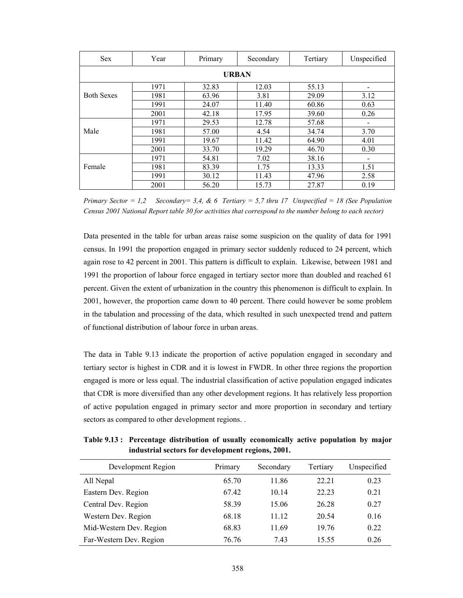| <b>Sex</b>        | Year | Primary | Secondary    | Tertiary | Unspecified |
|-------------------|------|---------|--------------|----------|-------------|
|                   |      |         | <b>URBAN</b> |          |             |
|                   | 1971 | 32.83   | 12.03        | 55.13    |             |
| <b>Both Sexes</b> | 1981 | 63.96   | 3.81         | 29.09    | 3.12        |
|                   | 1991 | 24.07   | 11.40        | 60.86    | 0.63        |
|                   | 2001 | 42.18   | 17.95        | 39.60    | 0.26        |
|                   | 1971 | 29.53   | 12.78        | 57.68    |             |
| Male              | 1981 | 57.00   | 4.54         | 34.74    | 3.70        |
|                   | 1991 | 19.67   | 11.42        | 64.90    | 4.01        |
|                   | 2001 | 33.70   | 19.29        | 46.70    | 0.30        |
|                   | 1971 | 54.81   | 7.02         | 38.16    |             |
| Female            | 1981 | 83.39   | 1.75         | 13.33    | 1.51        |
|                   | 1991 | 30.12   | 11.43        | 47.96    | 2.58        |
|                   | 2001 | 56.20   | 15.73        | 27.87    | 0.19        |

*Primary Sector = 1,2 Secondary= 3,4, & 6 Tertiary = 5,7 thru 17 Unspecified = 18 (See Population Census 2001 National Report table 30 for activities that correspond to the number belong to each sector)* 

Data presented in the table for urban areas raise some suspicion on the quality of data for 1991 census. In 1991 the proportion engaged in primary sector suddenly reduced to 24 percent, which again rose to 42 percent in 2001. This pattern is difficult to explain. Likewise, between 1981 and 1991 the proportion of labour force engaged in tertiary sector more than doubled and reached 61 percent. Given the extent of urbanization in the country this phenomenon is difficult to explain. In 2001, however, the proportion came down to 40 percent. There could however be some problem in the tabulation and processing of the data, which resulted in such unexpected trend and pattern of functional distribution of labour force in urban areas.

The data in Table 9.13 indicate the proportion of active population engaged in secondary and tertiary sector is highest in CDR and it is lowest in FWDR. In other three regions the proportion engaged is more or less equal. The industrial classification of active population engaged indicates that CDR is more diversified than any other development regions. It has relatively less proportion of active population engaged in primary sector and more proportion in secondary and tertiary sectors as compared to other development regions. .

**Table 9.13 : Percentage distribution of usually economically active population by major industrial sectors for development regions, 2001.** 

| Development Region      | Primary | Secondary | Tertiary | Unspecified |
|-------------------------|---------|-----------|----------|-------------|
| All Nepal               | 65.70   | 11.86     | 22 21    | 0.23        |
| Eastern Dev. Region     | 67.42   | 10.14     | 22.23    | 0.21        |
| Central Dev. Region     | 58.39   | 15.06     | 26.28    | 0.27        |
| Western Dev. Region     | 68.18   | 11.12     | 20.54    | 0.16        |
| Mid-Western Dev. Region | 68.83   | 11.69     | 1976     | 0.22        |
| Far-Western Dev. Region | 76.76   | 7.43      | 15.55    | 0.26        |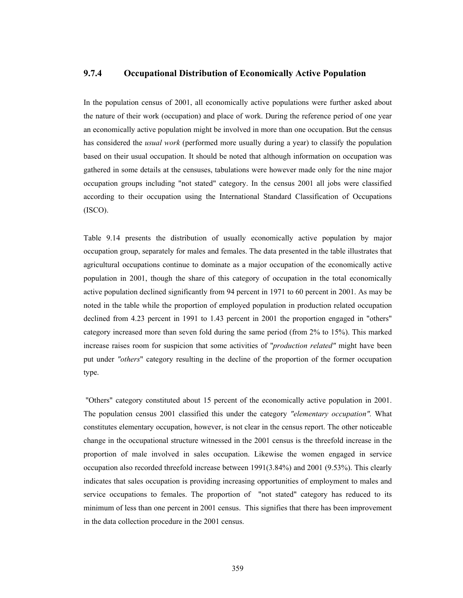#### **9.7.4 Occupational Distribution of Economically Active Population**

In the population census of 2001, all economically active populations were further asked about the nature of their work (occupation) and place of work. During the reference period of one year an economically active population might be involved in more than one occupation. But the census has considered the *usual work* (performed more usually during a year) to classify the population based on their usual occupation. It should be noted that although information on occupation was gathered in some details at the censuses, tabulations were however made only for the nine major occupation groups including "not stated" category. In the census 2001 all jobs were classified according to their occupation using the International Standard Classification of Occupations (ISCO).

Table 9.14 presents the distribution of usually economically active population by major occupation group, separately for males and females. The data presented in the table illustrates that agricultural occupations continue to dominate as a major occupation of the economically active population in 2001, though the share of this category of occupation in the total economically active population declined significantly from 94 percent in 1971 to 60 percent in 2001. As may be noted in the table while the proportion of employed population in production related occupation declined from 4.23 percent in 1991 to 1.43 percent in 2001 the proportion engaged in "others" category increased more than seven fold during the same period (from 2% to 15%). This marked increase raises room for suspicion that some activities of "*production related"* might have been put under *"others*" category resulting in the decline of the proportion of the former occupation type.

 "Others" category constituted about 15 percent of the economically active population in 2001. The population census 2001 classified this under the category *"elementary occupation".* What constitutes elementary occupation, however, is not clear in the census report. The other noticeable change in the occupational structure witnessed in the 2001 census is the threefold increase in the proportion of male involved in sales occupation. Likewise the women engaged in service occupation also recorded threefold increase between 1991(3.84%) and 2001 (9.53%). This clearly indicates that sales occupation is providing increasing opportunities of employment to males and service occupations to females. The proportion of "not stated" category has reduced to its minimum of less than one percent in 2001 census. This signifies that there has been improvement in the data collection procedure in the 2001 census.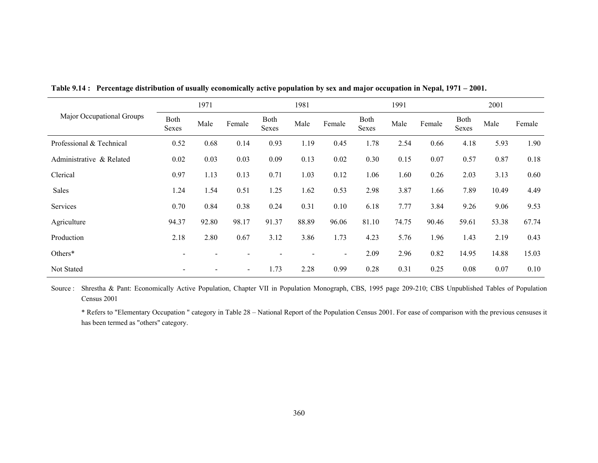|                           |                | 1971  |                              |               | 1981  |                |               | 1991  |        | 2001          |       |        |
|---------------------------|----------------|-------|------------------------------|---------------|-------|----------------|---------------|-------|--------|---------------|-------|--------|
| Major Occupational Groups | Both<br>Sexes  | Male  | Female                       | Both<br>Sexes | Male  | Female         | Both<br>Sexes | Male  | Female | Both<br>Sexes | Male  | Female |
| Professional & Technical  | 0.52           | 0.68  | 0.14                         | 0.93          | 1.19  | 0.45           | 1.78          | 2.54  | 0.66   | 4.18          | 5.93  | 1.90   |
| Administrative & Related  | 0.02           | 0.03  | 0.03                         | 0.09          | 0.13  | 0.02           | 0.30          | 0.15  | 0.07   | 0.57          | 0.87  | 0.18   |
| Clerical                  | 0.97           | 1.13  | 0.13                         | 0.71          | 1.03  | 0.12           | 1.06          | 1.60  | 0.26   | 2.03          | 3.13  | 0.60   |
| Sales                     | 1.24           | 1.54  | 0.51                         | 1.25          | 1.62  | 0.53           | 2.98          | 3.87  | 1.66   | 7.89          | 10.49 | 4.49   |
| Services                  | 0.70           | 0.84  | 0.38                         | 0.24          | 0.31  | 0.10           | 6.18          | 7.77  | 3.84   | 9.26          | 9.06  | 9.53   |
| Agriculture               | 94.37          | 92.80 | 98.17                        | 91.37         | 88.89 | 96.06          | 81.10         | 74.75 | 90.46  | 59.61         | 53.38 | 67.74  |
| Production                | 2.18           | 2.80  | 0.67                         | 3.12          | 3.86  | 1.73           | 4.23          | 5.76  | 1.96   | 1.43          | 2.19  | 0.43   |
| Others*                   | $\blacksquare$ |       |                              |               |       | $\blacksquare$ | 2.09          | 2.96  | 0.82   | 14.95         | 14.88 | 15.03  |
| Not Stated                |                |       | $\qquad \qquad \blacksquare$ | 1.73          | 2.28  | 0.99           | 0.28          | 0.31  | 0.25   | 0.08          | 0.07  | 0.10   |

**Table 9.14 : Percentage distribution of usually economically active population by sex and major occupation in Nepal, 1971 – 2001.** 

Source : Shrestha & Pant: Economically Active Population, Chapter VII in Population Monograph, CBS, 1995 page 209-210; CBS Unpublished Tables of Population Census 2001

 \* Refers to "Elementary Occupation " category in Table 28 – National Report of the Population Census 2001. For ease of comparison with the previous censuses it has been termed as "others" category.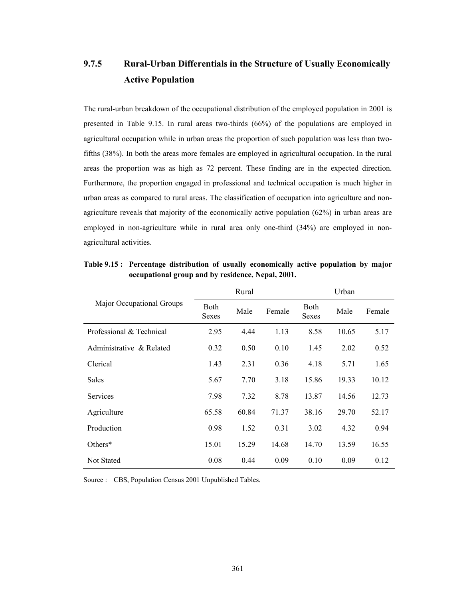# **9.7.5 Rural-Urban Differentials in the Structure of Usually Economically Active Population**

The rural-urban breakdown of the occupational distribution of the employed population in 2001 is presented in Table 9.15. In rural areas two-thirds (66%) of the populations are employed in agricultural occupation while in urban areas the proportion of such population was less than twofifths (38%). In both the areas more females are employed in agricultural occupation. In the rural areas the proportion was as high as 72 percent. These finding are in the expected direction. Furthermore, the proportion engaged in professional and technical occupation is much higher in urban areas as compared to rural areas. The classification of occupation into agriculture and nonagriculture reveals that majority of the economically active population (62%) in urban areas are employed in non-agriculture while in rural area only one-third (34%) are employed in nonagricultural activities.

|                           |                             | Rural |        | Urban                |       |        |  |  |
|---------------------------|-----------------------------|-------|--------|----------------------|-------|--------|--|--|
| Major Occupational Groups | <b>Both</b><br><b>Sexes</b> | Male  | Female | <b>Both</b><br>Sexes | Male  | Female |  |  |
| Professional & Technical  | 2.95                        | 4.44  | 1.13   | 8.58                 | 10.65 | 5.17   |  |  |
| Administrative & Related  | 0.32                        | 0.50  | 0.10   | 1.45                 | 2.02  | 0.52   |  |  |
| Clerical                  | 1.43                        | 2.31  | 0.36   | 4.18                 | 5.71  | 1.65   |  |  |
| Sales                     | 5.67                        | 7.70  | 3.18   | 15.86                | 19.33 | 10.12  |  |  |
| <b>Services</b>           | 7.98                        | 7.32  | 8.78   | 13.87                | 14.56 | 12.73  |  |  |
| Agriculture               | 65.58                       | 60.84 | 71.37  | 38.16                | 29.70 | 52.17  |  |  |
| Production                | 0.98                        | 1.52  | 0.31   | 3.02                 | 4.32  | 0.94   |  |  |
| Others $*$                | 15.01                       | 15.29 | 14.68  | 14.70                | 13.59 | 16.55  |  |  |
| <b>Not Stated</b>         | 0.08                        | 0.44  | 0.09   | 0.10                 | 0.09  | 0.12   |  |  |

**Table 9.15 : Percentage distribution of usually economically active population by major occupational group and by residence, Nepal, 2001.** 

Source : CBS, Population Census 2001 Unpublished Tables.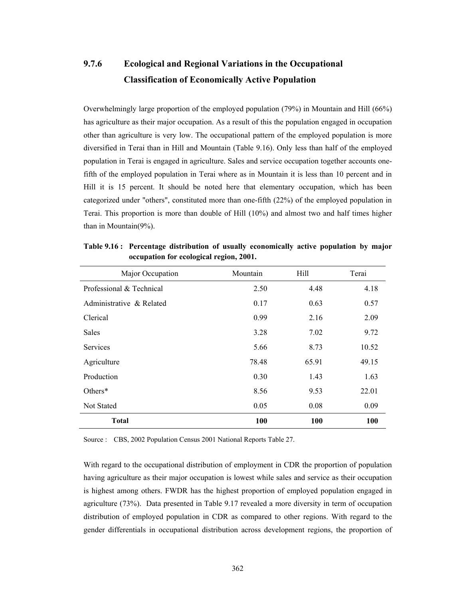# **9.7.6 Ecological and Regional Variations in the Occupational Classification of Economically Active Population**

Overwhelmingly large proportion of the employed population (79%) in Mountain and Hill (66%) has agriculture as their major occupation. As a result of this the population engaged in occupation other than agriculture is very low. The occupational pattern of the employed population is more diversified in Terai than in Hill and Mountain (Table 9.16). Only less than half of the employed population in Terai is engaged in agriculture. Sales and service occupation together accounts onefifth of the employed population in Terai where as in Mountain it is less than 10 percent and in Hill it is 15 percent. It should be noted here that elementary occupation, which has been categorized under "others", constituted more than one-fifth (22%) of the employed population in Terai. This proportion is more than double of Hill (10%) and almost two and half times higher than in Mountain(9%).

| Major Occupation         | Mountain | Hill       | Terai      |
|--------------------------|----------|------------|------------|
| Professional & Technical | 2.50     | 4.48       | 4.18       |
| Administrative & Related | 0.17     | 0.63       | 0.57       |
| Clerical                 | 0.99     | 2.16       | 2.09       |
| <b>Sales</b>             | 3.28     | 7.02       | 9.72       |
| <b>Services</b>          | 5.66     | 8.73       | 10.52      |
| Agriculture              | 78.48    | 65.91      | 49.15      |
| Production               | 0.30     | 1.43       | 1.63       |
| Others*                  | 8.56     | 9.53       | 22.01      |
| Not Stated               | 0.05     | 0.08       | 0.09       |
| <b>Total</b>             | 100      | <b>100</b> | <b>100</b> |

**Table 9.16 : Percentage distribution of usually economically active population by major occupation for ecological region, 2001.** 

Source : CBS, 2002 Population Census 2001 National Reports Table 27.

With regard to the occupational distribution of employment in CDR the proportion of population having agriculture as their major occupation is lowest while sales and service as their occupation is highest among others. FWDR has the highest proportion of employed population engaged in agriculture (73%). Data presented in Table 9.17 revealed a more diversity in term of occupation distribution of employed population in CDR as compared to other regions. With regard to the gender differentials in occupational distribution across development regions, the proportion of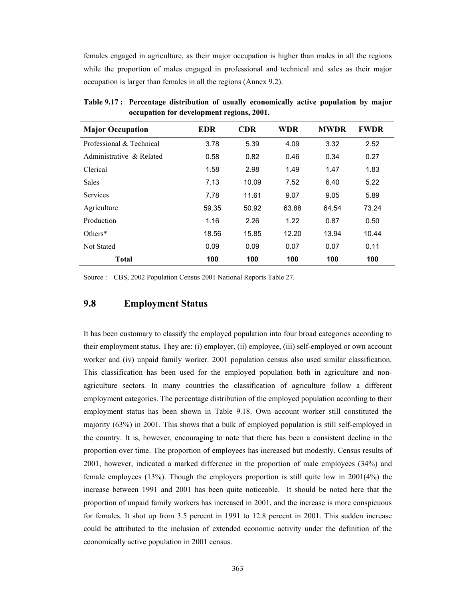females engaged in agriculture, as their major occupation is higher than males in all the regions while the proportion of males engaged in professional and technical and sales as their major occupation is larger than females in all the regions (Annex 9.2).

| <b>Major Occupation</b>  | <b>EDR</b> | <b>CDR</b> | <b>WDR</b> | <b>MWDR</b> | <b>FWDR</b> |  |
|--------------------------|------------|------------|------------|-------------|-------------|--|
| Professional & Technical | 3.78       | 5.39       | 4.09       | 3.32        | 2.52        |  |
| Administrative & Related | 0.58       | 0.82       | 0.46       | 0.34        | 0.27        |  |
| Clerical                 | 1.58       | 2.98       | 1.49       | 1.47        | 1.83        |  |
| Sales                    | 7.13       | 10.09      | 7.52       | 6.40        | 5.22        |  |
| <b>Services</b>          | 7.78       | 11.61      | 9.07       | 9.05        | 5.89        |  |
| Agriculture              | 59.35      | 50.92      | 63.88      | 64.54       | 73.24       |  |
| Production               | 1.16       | 2.26       | 1.22       | 0.87        | 0.50        |  |
| Others*                  | 18.56      | 15.85      | 12.20      | 13.94       | 10.44       |  |
| Not Stated               | 0.09       | 0.09       | 0.07       | 0.07        | 0.11        |  |
| <b>Total</b>             | 100        | 100        | 100        | 100         | 100         |  |

**Table 9.17 : Percentage distribution of usually economically active population by major occupation for development regions, 2001.** 

Source : CBS, 2002 Population Census 2001 National Reports Table 27.

#### **9.8 Employment Status**

It has been customary to classify the employed population into four broad categories according to their employment status. They are: (i) employer, (ii) employee, (iii) self-employed or own account worker and (iv) unpaid family worker. 2001 population census also used similar classification. This classification has been used for the employed population both in agriculture and nonagriculture sectors. In many countries the classification of agriculture follow a different employment categories. The percentage distribution of the employed population according to their employment status has been shown in Table 9.18. Own account worker still constituted the majority (63%) in 2001. This shows that a bulk of employed population is still self-employed in the country. It is, however, encouraging to note that there has been a consistent decline in the proportion over time. The proportion of employees has increased but modestly. Census results of 2001, however, indicated a marked difference in the proportion of male employees (34%) and female employees (13%). Though the employers proportion is still quite low in 2001(4%) the increase between 1991 and 2001 has been quite noticeable. It should be noted here that the proportion of unpaid family workers has increased in 2001, and the increase is more conspicuous for females. It shot up from 3.5 percent in 1991 to 12.8 percent in 2001. This sudden increase could be attributed to the inclusion of extended economic activity under the definition of the economically active population in 2001 census.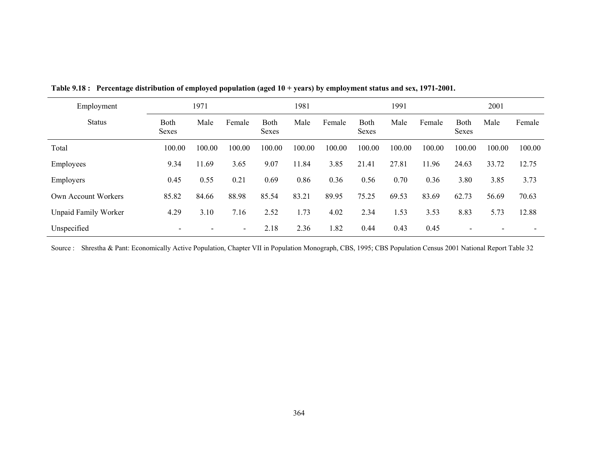| Employment                  | 1971                 |        |                          |               | 1981   |        |                      | 1991   |        |                             | 2001   |        |  |
|-----------------------------|----------------------|--------|--------------------------|---------------|--------|--------|----------------------|--------|--------|-----------------------------|--------|--------|--|
| <b>Status</b>               | <b>Both</b><br>Sexes | Male   | Female                   | Both<br>Sexes | Male   | Female | <b>Both</b><br>Sexes | Male   | Female | <b>Both</b><br><b>Sexes</b> | Male   | Female |  |
| Total                       | 100.00               | 100.00 | 100.00                   | 100.00        | 100.00 | 100.00 | 100.00               | 100.00 | 100.00 | 100.00                      | 100.00 | 100.00 |  |
| Employees                   | 9.34                 | 11.69  | 3.65                     | 9.07          | 11.84  | 3.85   | 21.41                | 27.81  | 11.96  | 24.63                       | 33.72  | 12.75  |  |
| Employers                   | 0.45                 | 0.55   | 0.21                     | 0.69          | 0.86   | 0.36   | 0.56                 | 0.70   | 0.36   | 3.80                        | 3.85   | 3.73   |  |
| Own Account Workers         | 85.82                | 84.66  | 88.98                    | 85.54         | 83.21  | 89.95  | 75.25                | 69.53  | 83.69  | 62.73                       | 56.69  | 70.63  |  |
| <b>Unpaid Family Worker</b> | 4.29                 | 3.10   | 7.16                     | 2.52          | 1.73   | 4.02   | 2.34                 | 1.53   | 3.53   | 8.83                        | 5.73   | 12.88  |  |
| Unspecified                 |                      |        | $\overline{\phantom{0}}$ | 2.18          | 2.36   | 1.82   | 0.44                 | 0.43   | 0.45   |                             |        |        |  |

**Table 9.18 : Percentage distribution of employed population (aged 10 + years) by employment status and sex, 1971-2001.** 

Source : Shrestha & Pant: Economically Active Population, Chapter VII in Population Monograph, CBS, 1995; CBS Population Census 2001 National Report Table 32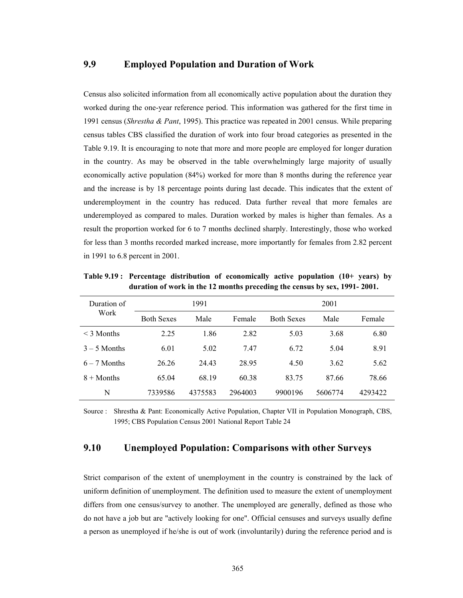#### **9.9 Employed Population and Duration of Work**

Census also solicited information from all economically active population about the duration they worked during the one-year reference period. This information was gathered for the first time in 1991 census (*Shrestha & Pant*, 1995). This practice was repeated in 2001 census. While preparing census tables CBS classified the duration of work into four broad categories as presented in the Table 9.19. It is encouraging to note that more and more people are employed for longer duration in the country. As may be observed in the table overwhelmingly large majority of usually economically active population (84%) worked for more than 8 months during the reference year and the increase is by 18 percentage points during last decade. This indicates that the extent of underemployment in the country has reduced. Data further reveal that more females are underemployed as compared to males. Duration worked by males is higher than females. As a result the proportion worked for 6 to 7 months declined sharply. Interestingly, those who worked for less than 3 months recorded marked increase, more importantly for females from 2.82 percent in 1991 to 6.8 percent in 2001.

| Duration of     |                   | 1991    |         | 2001              |         |         |  |  |  |
|-----------------|-------------------|---------|---------|-------------------|---------|---------|--|--|--|
| Work            | <b>Both Sexes</b> | Male    | Female  | <b>Both Sexes</b> | Male    | Female  |  |  |  |
| $\leq$ 3 Months | 2.25              | 1.86    | 2.82    | 5.03              | 3.68    | 6.80    |  |  |  |
| $3 - 5$ Months  | 6.01              | 5.02    | 7.47    | 6.72              | 5.04    | 8.91    |  |  |  |
| $6 - 7$ Months  | 26.26             | 24.43   | 28.95   | 4.50              | 3.62    | 5.62    |  |  |  |
| $8 +$ Months    | 65.04             | 68.19   | 60.38   | 83.75             | 87.66   | 78.66   |  |  |  |
| N               | 7339586           | 4375583 | 2964003 | 9900196           | 5606774 | 4293422 |  |  |  |

**Table 9.19 : Percentage distribution of economically active population (10+ years) by duration of work in the 12 months preceding the census by sex, 1991- 2001.** 

Source : Shrestha & Pant: Economically Active Population, Chapter VII in Population Monograph, CBS, 1995; CBS Population Census 2001 National Report Table 24

#### **9.10 Unemployed Population: Comparisons with other Surveys**

Strict comparison of the extent of unemployment in the country is constrained by the lack of uniform definition of unemployment. The definition used to measure the extent of unemployment differs from one census/survey to another. The unemployed are generally, defined as those who do not have a job but are "actively looking for one". Official censuses and surveys usually define a person as unemployed if he/she is out of work (involuntarily) during the reference period and is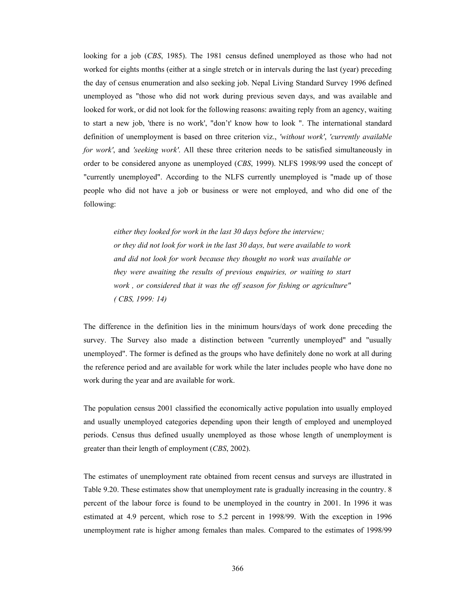looking for a job (*CBS*, 1985). The 1981 census defined unemployed as those who had not worked for eights months (either at a single stretch or in intervals during the last (year) preceding the day of census enumeration and also seeking job. Nepal Living Standard Survey 1996 defined unemployed as "those who did not work during previous seven days, and was available and looked for work, or did not look for the following reasons: awaiting reply from an agency, waiting to start a new job, 'there is no work', "don't' know how to look ". The international standard definition of unemployment is based on three criterion viz., *'without work'*, *'currently available for work'*, and *'seeking work'*. All these three criterion needs to be satisfied simultaneously in order to be considered anyone as unemployed (*CBS*, 1999). NLFS 1998/99 used the concept of "currently unemployed". According to the NLFS currently unemployed is "made up of those people who did not have a job or business or were not employed, and who did one of the following:

*either they looked for work in the last 30 days before the interview; or they did not look for work in the last 30 days, but were available to work and did not look for work because they thought no work was available or they were awaiting the results of previous enquiries, or waiting to start work , or considered that it was the off season for fishing or agriculture" ( CBS, 1999: 14)* 

The difference in the definition lies in the minimum hours/days of work done preceding the survey. The Survey also made a distinction between "currently unemployed" and "usually unemployed". The former is defined as the groups who have definitely done no work at all during the reference period and are available for work while the later includes people who have done no work during the year and are available for work.

The population census 2001 classified the economically active population into usually employed and usually unemployed categories depending upon their length of employed and unemployed periods. Census thus defined usually unemployed as those whose length of unemployment is greater than their length of employment (*CBS*, 2002).

The estimates of unemployment rate obtained from recent census and surveys are illustrated in Table 9.20. These estimates show that unemployment rate is gradually increasing in the country. 8 percent of the labour force is found to be unemployed in the country in 2001. In 1996 it was estimated at 4.9 percent, which rose to 5.2 percent in 1998/99. With the exception in 1996 unemployment rate is higher among females than males. Compared to the estimates of 1998/99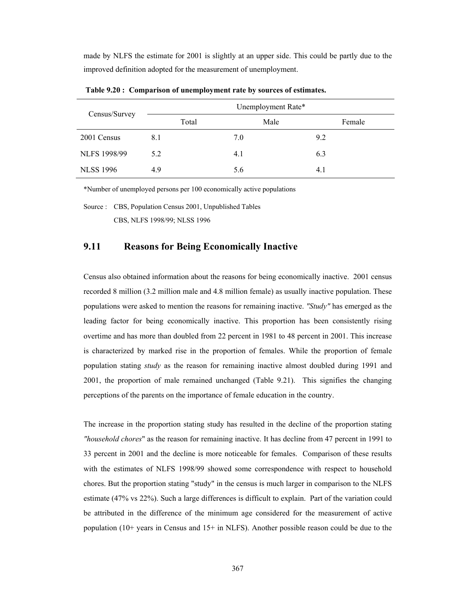made by NLFS the estimate for 2001 is slightly at an upper side. This could be partly due to the improved definition adopted for the measurement of unemployment.

| Census/Survey       | Unemployment Rate* |      |        |  |  |  |  |  |  |  |
|---------------------|--------------------|------|--------|--|--|--|--|--|--|--|
|                     | Total              | Male | Female |  |  |  |  |  |  |  |
| 2001 Census         | 8.1                | 7.0  | 9.2    |  |  |  |  |  |  |  |
| <b>NLFS 1998/99</b> | 5.2                | 4.1  | 6.3    |  |  |  |  |  |  |  |
| <b>NLSS 1996</b>    | 4.9                | 5.6  | 4.1    |  |  |  |  |  |  |  |

 **Table 9.20 : Comparison of unemployment rate by sources of estimates.** 

\*Number of unemployed persons per 100 economically active populations

Source : CBS, Population Census 2001, Unpublished Tables

CBS, NLFS 1998/99; NLSS 1996

#### **9.11 Reasons for Being Economically Inactive**

Census also obtained information about the reasons for being economically inactive. 2001 census recorded 8 million (3.2 million male and 4.8 million female) as usually inactive population. These populations were asked to mention the reasons for remaining inactive. *"Study"* has emerged as the leading factor for being economically inactive. This proportion has been consistently rising overtime and has more than doubled from 22 percent in 1981 to 48 percent in 2001. This increase is characterized by marked rise in the proportion of females. While the proportion of female population stating *study* as the reason for remaining inactive almost doubled during 1991 and 2001, the proportion of male remained unchanged (Table 9.21). This signifies the changing perceptions of the parents on the importance of female education in the country.

The increase in the proportion stating study has resulted in the decline of the proportion stating *"household chores*" as the reason for remaining inactive. It has decline from 47 percent in 1991 to 33 percent in 2001 and the decline is more noticeable for females. Comparison of these results with the estimates of NLFS 1998/99 showed some correspondence with respect to household chores. But the proportion stating "study" in the census is much larger in comparison to the NLFS estimate (47% vs 22%). Such a large differences is difficult to explain. Part of the variation could be attributed in the difference of the minimum age considered for the measurement of active population  $(10+)$  years in Census and  $15+$  in NLFS). Another possible reason could be due to the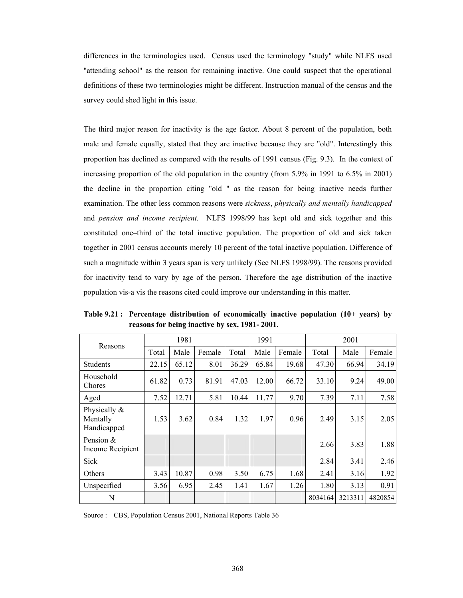differences in the terminologies used. Census used the terminology "study" while NLFS used "attending school" as the reason for remaining inactive. One could suspect that the operational definitions of these two terminologies might be different. Instruction manual of the census and the survey could shed light in this issue.

The third major reason for inactivity is the age factor. About 8 percent of the population, both male and female equally, stated that they are inactive because they are "old". Interestingly this proportion has declined as compared with the results of 1991 census (Fig. 9.3). In the context of increasing proportion of the old population in the country (from 5.9% in 1991 to 6.5% in 2001) the decline in the proportion citing "old " as the reason for being inactive needs further examination. The other less common reasons were *sickness*, *physically and mentally handicapped* and *pension and income recipient.* NLFS 1998/99 has kept old and sick together and this constituted one–third of the total inactive population. The proportion of old and sick taken together in 2001 census accounts merely 10 percent of the total inactive population. Difference of such a magnitude within 3 years span is very unlikely (See NLFS 1998/99). The reasons provided for inactivity tend to vary by age of the person. Therefore the age distribution of the inactive population vis-a vis the reasons cited could improve our understanding in this matter.

| Reasons                                 |       | 1981  |        |       | 1991  |        | 2001    |         |         |  |  |
|-----------------------------------------|-------|-------|--------|-------|-------|--------|---------|---------|---------|--|--|
|                                         | Total | Male  | Female | Total | Male  | Female | Total   | Male    | Female  |  |  |
| Students                                | 22.15 | 65.12 | 8.01   | 36.29 | 65.84 | 19.68  | 47.30   | 66.94   | 34.19   |  |  |
| Household<br>Chores                     | 61.82 | 0.73  | 81.91  | 47.03 | 12.00 | 66.72  | 33.10   | 9.24    | 49.00   |  |  |
| Aged                                    | 7.52  | 12.71 | 5.81   | 10.44 | 11.77 | 9.70   | 7.39    | 7.11    | 7.58    |  |  |
| Physically &<br>Mentally<br>Handicapped | 1.53  | 3.62  | 0.84   | 1.32  | 1.97  | 0.96   | 2.49    | 3.15    | 2.05    |  |  |
| Pension $\&$<br>Income Recipient        |       |       |        |       |       |        | 2.66    | 3.83    | 1.88    |  |  |
| Sick                                    |       |       |        |       |       |        | 2.84    | 3.41    | 2.46    |  |  |
| Others                                  | 3.43  | 10.87 | 0.98   | 3.50  | 6.75  | 1.68   | 2.41    | 3.16    | 1.92    |  |  |
| Unspecified                             | 3.56  | 6.95  | 2.45   | 1.41  | 1.67  | 1.26   | 1.80    | 3.13    | 0.91    |  |  |
| N                                       |       |       |        |       |       |        | 8034164 | 3213311 | 4820854 |  |  |

**Table 9.21 : Percentage distribution of economically inactive population (10+ years) by reasons for being inactive by sex, 1981- 2001.** 

Source : CBS, Population Census 2001, National Reports Table 36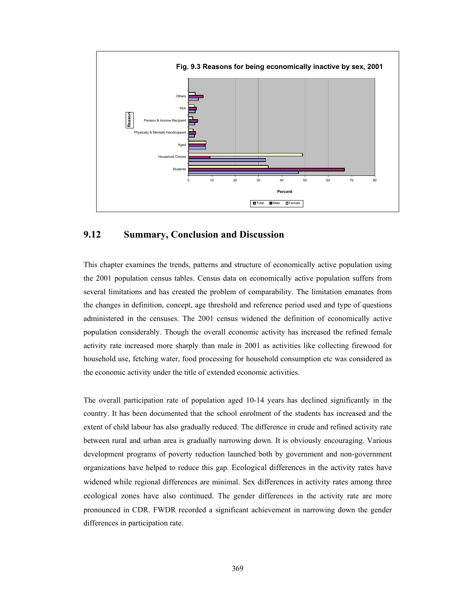

### **9.12 Summary, Conclusion and Discussion**

This chapter examines the trends, patterns and structure of economically active population using the 2001 population census tables. Census data on economically active population suffers from several limitations and has created the problem of comparability. The limitation emanates from the changes in definition, concept, age threshold and reference period used and type of questions administered in the censuses. The 2001 census widened the definition of economically active population considerably. Though the overall economic activity has increased the refined female activity rate increased more sharply than male in 2001 as activities like collecting firewood for household use, fetching water, food processing for household consumption etc was considered as the economic activity under the title of extended economic activities.

The overall participation rate of population aged 10-14 years has declined significantly in the country. It has been documented that the school enrolment of the students has increased and the extent of child labour has also gradually reduced. The difference in crude and refined activity rate between rural and urban area is gradually narrowing down. It is obviously encouraging. Various development programs of poverty reduction launched both by government and non-government organizations have helped to reduce this gap. Ecological differences in the activity rates have widened while regional differences are minimal. Sex differences in activity rates among three ecological zones have also continued. The gender differences in the activity rate are more pronounced in CDR. FWDR recorded a significant achievement in narrowing down the gender differences in participation rate.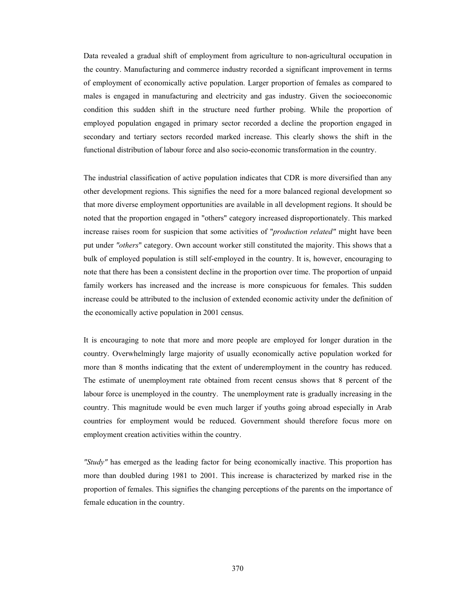Data revealed a gradual shift of employment from agriculture to non-agricultural occupation in the country. Manufacturing and commerce industry recorded a significant improvement in terms of employment of economically active population. Larger proportion of females as compared to males is engaged in manufacturing and electricity and gas industry. Given the socioeconomic condition this sudden shift in the structure need further probing. While the proportion of employed population engaged in primary sector recorded a decline the proportion engaged in secondary and tertiary sectors recorded marked increase. This clearly shows the shift in the functional distribution of labour force and also socio-economic transformation in the country.

The industrial classification of active population indicates that CDR is more diversified than any other development regions. This signifies the need for a more balanced regional development so that more diverse employment opportunities are available in all development regions. It should be noted that the proportion engaged in "others" category increased disproportionately. This marked increase raises room for suspicion that some activities of "*production related"* might have been put under *"others*" category. Own account worker still constituted the majority. This shows that a bulk of employed population is still self-employed in the country. It is, however, encouraging to note that there has been a consistent decline in the proportion over time. The proportion of unpaid family workers has increased and the increase is more conspicuous for females. This sudden increase could be attributed to the inclusion of extended economic activity under the definition of the economically active population in 2001 census.

It is encouraging to note that more and more people are employed for longer duration in the country. Overwhelmingly large majority of usually economically active population worked for more than 8 months indicating that the extent of underemployment in the country has reduced. The estimate of unemployment rate obtained from recent census shows that 8 percent of the labour force is unemployed in the country. The unemployment rate is gradually increasing in the country. This magnitude would be even much larger if youths going abroad especially in Arab countries for employment would be reduced. Government should therefore focus more on employment creation activities within the country.

*"Study"* has emerged as the leading factor for being economically inactive. This proportion has more than doubled during 1981 to 2001. This increase is characterized by marked rise in the proportion of females. This signifies the changing perceptions of the parents on the importance of female education in the country.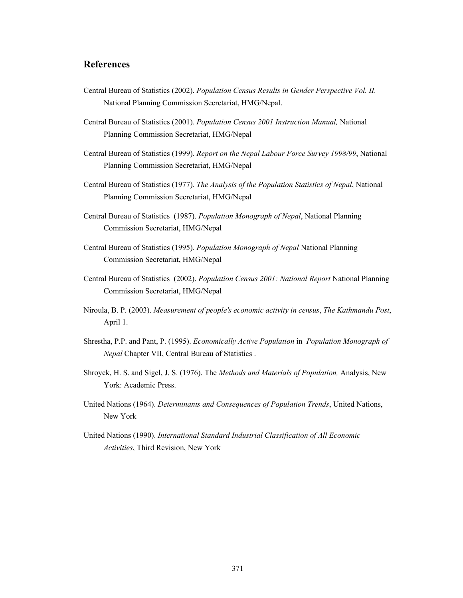### **References**

- Central Bureau of Statistics (2002). *Population Census Results in Gender Perspective Vol. II.*  National Planning Commission Secretariat, HMG/Nepal.
- Central Bureau of Statistics (2001). *Population Census 2001 Instruction Manual,* National Planning Commission Secretariat, HMG/Nepal
- Central Bureau of Statistics (1999). *Report on the Nepal Labour Force Survey 1998/99*, National Planning Commission Secretariat, HMG/Nepal
- Central Bureau of Statistics (1977). *The Analysis of the Population Statistics of Nepal*, National Planning Commission Secretariat, HMG/Nepal
- Central Bureau of Statistics (1987). *Population Monograph of Nepal*, National Planning Commission Secretariat, HMG/Nepal
- Central Bureau of Statistics (1995). *Population Monograph of Nepal* National Planning Commission Secretariat, HMG/Nepal
- Central Bureau of Statistics (2002). *Population Census 2001: National Report* National Planning Commission Secretariat, HMG/Nepal
- Niroula, B. P. (2003). *Measurement of people's economic activity in census*, *The Kathmandu Post*, April 1.
- Shrestha, P.P. and Pant, P. (1995). *Economically Active Population* in *Population Monograph of Nepal* Chapter VII, Central Bureau of Statistics .
- Shroyck, H. S. and Sigel, J. S. (1976). The *Methods and Materials of Population,* Analysis, New York: Academic Press.
- United Nations (1964). *Determinants and Consequences of Population Trends*, United Nations, New York
- United Nations (1990). *International Standard Industrial Classification of All Economic Activities*, Third Revision, New York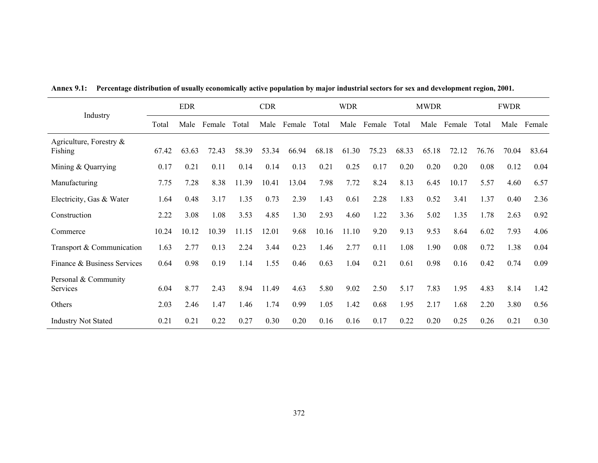|                                       |       | <b>EDR</b> |        |       | <b>CDR</b> |        |       | <b>WDR</b> |        |       | <b>MWDR</b> |        | <b>FWDR</b> |       |        |
|---------------------------------------|-------|------------|--------|-------|------------|--------|-------|------------|--------|-------|-------------|--------|-------------|-------|--------|
| Industry                              | Total | Male       | Female | Total | Male       | Female | Total | Male       | Female | Total | Male        | Female | Total       | Male  | Female |
| Agriculture, Forestry $\&$<br>Fishing | 67.42 | 63.63      | 72.43  | 58.39 | 53.34      | 66.94  | 68.18 | 61.30      | 75.23  | 68.33 | 65.18       | 72.12  | 76.76       | 70.04 | 83.64  |
| Mining & Quarrying                    | 0.17  | 0.21       | 0.11   | 0.14  | 0.14       | 0.13   | 0.21  | 0.25       | 0.17   | 0.20  | 0.20        | 0.20   | 0.08        | 0.12  | 0.04   |
| Manufacturing                         | 7.75  | 7.28       | 8.38   | 11.39 | 10.41      | 13.04  | 7.98  | 7.72       | 8.24   | 8.13  | 6.45        | 10.17  | 5.57        | 4.60  | 6.57   |
| Electricity, Gas & Water              | 1.64  | 0.48       | 3.17   | 1.35  | 0.73       | 2.39   | 1.43  | 0.61       | 2.28   | 1.83  | 0.52        | 3.41   | 1.37        | 0.40  | 2.36   |
| Construction                          | 2.22  | 3.08       | 1.08   | 3.53  | 4.85       | 1.30   | 2.93  | 4.60       | 1.22   | 3.36  | 5.02        | 1.35   | 1.78        | 2.63  | 0.92   |
| Commerce                              | 10.24 | 10.12      | 10.39  | 11.15 | 12.01      | 9.68   | 10.16 | 11.10      | 9.20   | 9.13  | 9.53        | 8.64   | 6.02        | 7.93  | 4.06   |
| Transport & Communication             | 1.63  | 2.77       | 0.13   | 2.24  | 3.44       | 0.23   | 1.46  | 2.77       | 0.11   | 1.08  | 1.90        | 0.08   | 0.72        | 1.38  | 0.04   |
| Finance & Business Services           | 0.64  | 0.98       | 0.19   | 1.14  | 1.55       | 0.46   | 0.63  | 1.04       | 0.21   | 0.61  | 0.98        | 0.16   | 0.42        | 0.74  | 0.09   |
| Personal & Community<br>Services      | 6.04  | 8.77       | 2.43   | 8.94  | 11.49      | 4.63   | 5.80  | 9.02       | 2.50   | 5.17  | 7.83        | 1.95   | 4.83        | 8.14  | 1.42   |
| Others                                | 2.03  | 2.46       | 1.47   | 1.46  | 1.74       | 0.99   | 1.05  | 1.42       | 0.68   | 1.95  | 2.17        | 1.68   | 2.20        | 3.80  | 0.56   |
| <b>Industry Not Stated</b>            | 0.21  | 0.21       | 0.22   | 0.27  | 0.30       | 0.20   | 0.16  | 0.16       | 0.17   | 0.22  | 0.20        | 0.25   | 0.26        | 0.21  | 0.30   |

**Annex 9.1: Percentage distribution of usually economically active population by major industrial sectors for sex and development region, 2001.**